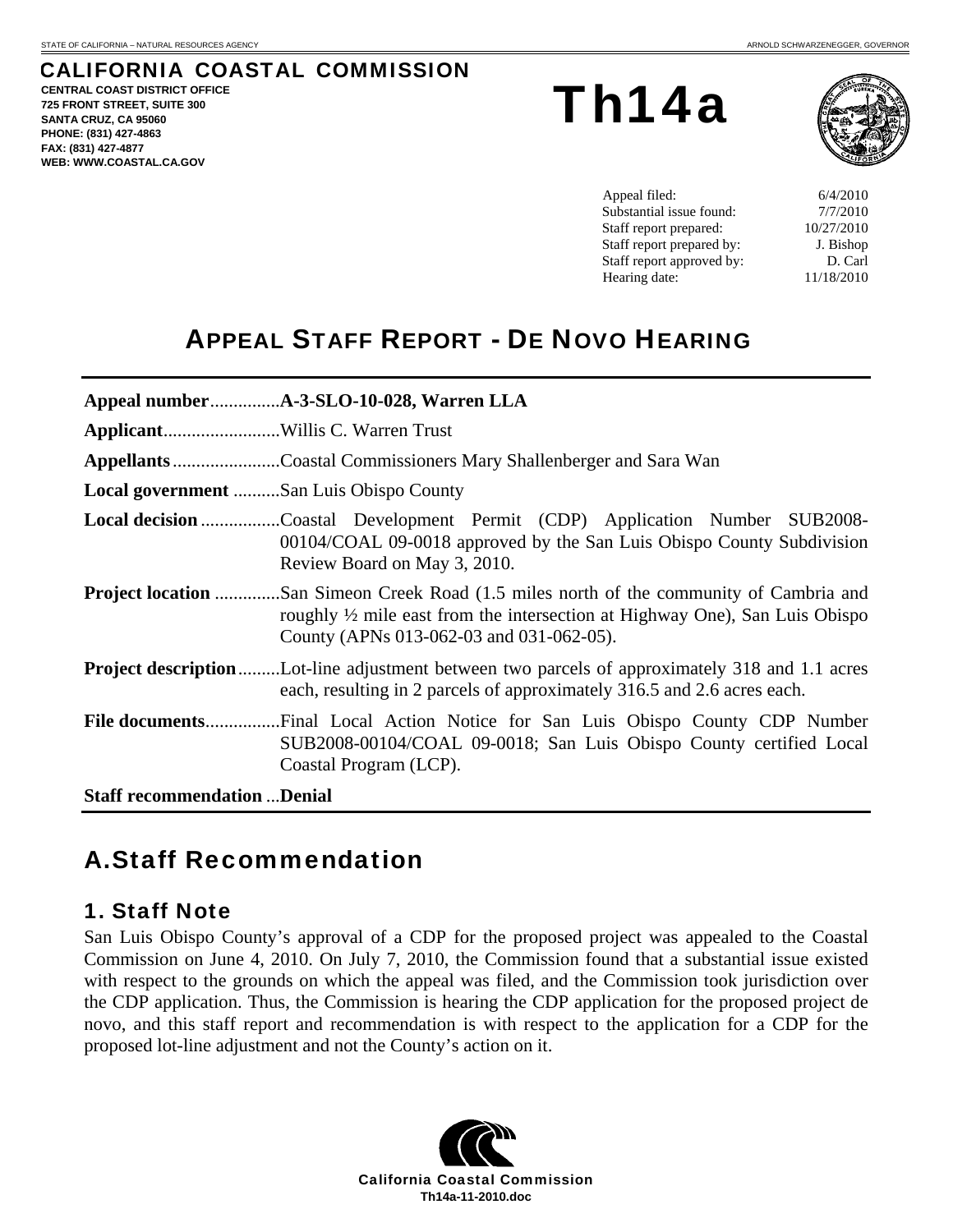# CALIFORNIA COASTAL COMMISSION

**CENTRAL COAST DISTRICT OFFICE 725 FRONT STREET, SUITE 300 SANTA CRUZ, CA 95060 PHONE: (831) 427-4863 FAX: (831) 427-4877 WEB: WWW.COASTAL.CA.GOV**

Th14a



Appeal filed: 6/4/2010 Substantial issue found:  $7/7/2010$ Staff report prepared:  $10/27/2010$ Staff report prepared by: J. Bishop Staff report approved by: D. Carl Hearing date: 11/18/2010

# APPEAL STAFF REPORT - DE NOVO HEARING

|                                    | Appellants Coastal Commissioners Mary Shallenberger and Sara Wan                                                                                                                                                           |  |  |
|------------------------------------|----------------------------------------------------------------------------------------------------------------------------------------------------------------------------------------------------------------------------|--|--|
|                                    | Local government San Luis Obispo County                                                                                                                                                                                    |  |  |
|                                    | <b>Local decision</b> Coastal Development Permit (CDP) Application Number SUB2008-<br>00104/COAL 09-0018 approved by the San Luis Obispo County Subdivision<br>Review Board on May 3, 2010.                                |  |  |
|                                    | <b>Project location</b> San Simeon Creek Road (1.5 miles north of the community of Cambria and<br>roughly 1/2 mile east from the intersection at Highway One), San Luis Obispo<br>County (APNs 013-062-03 and 031-062-05). |  |  |
|                                    | <b>Project description</b> Lot-line adjustment between two parcels of approximately 318 and 1.1 acres<br>each, resulting in 2 parcels of approximately 316.5 and 2.6 acres each.                                           |  |  |
|                                    | SUB2008-00104/COAL 09-0018; San Luis Obispo County certified Local<br>Coastal Program (LCP).                                                                                                                               |  |  |
| <b>Staff recommendation Denial</b> |                                                                                                                                                                                                                            |  |  |

# A. Staff Recommendation

### 1. Staff Note

San Luis Obispo County's approval of a CDP for the proposed project was appealed to the Coastal Commission on June 4, 2010. On July 7, 2010, the Commission found that a substantial issue existed with respect to the grounds on which the appeal was filed, and the Commission took jurisdiction over the CDP application. Thus, the Commission is hearing the CDP application for the proposed project de novo, and this staff report and recommendation is with respect to the application for a CDP for the proposed lot-line adjustment and not the County's action on it.

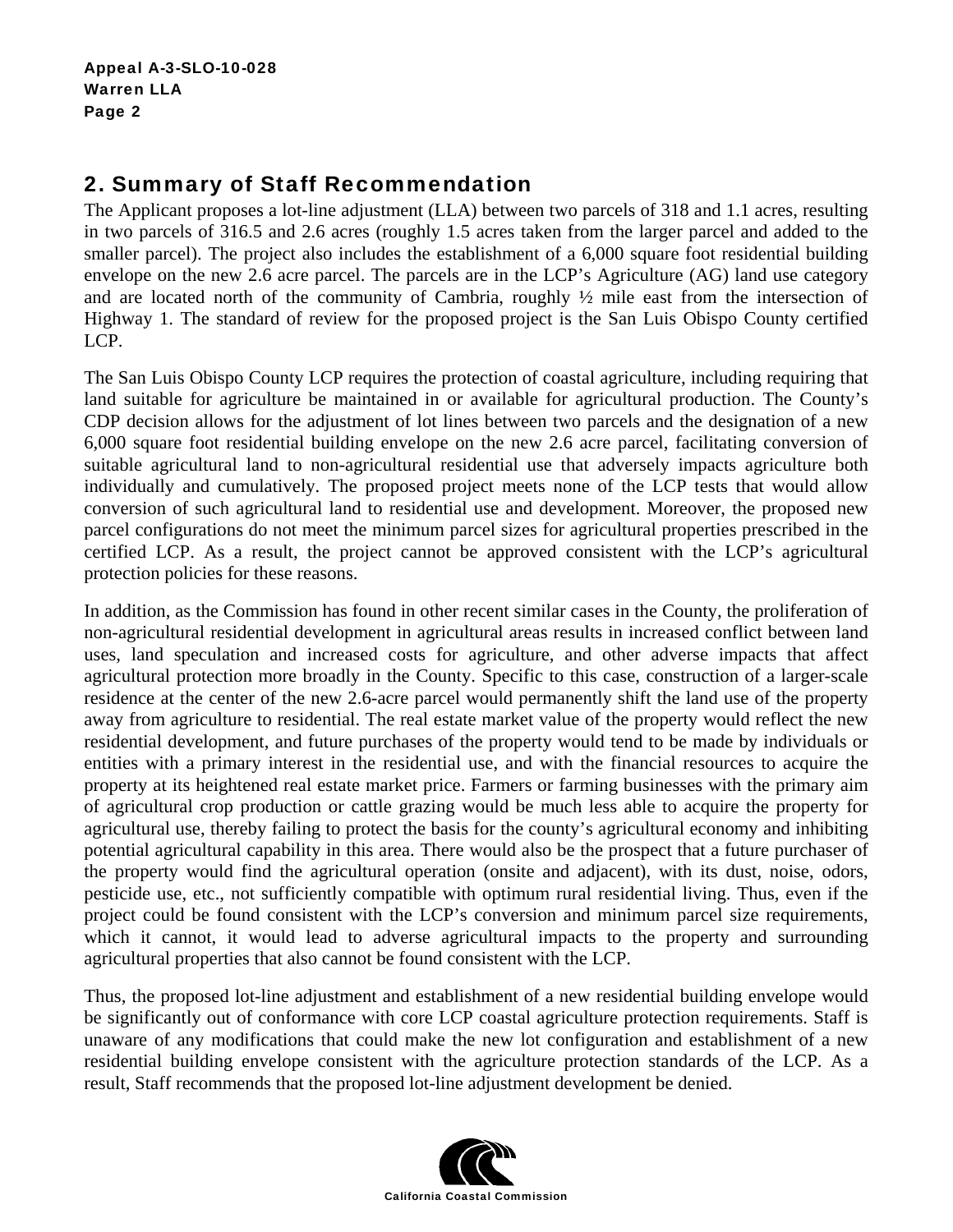## 2. Summary of Staff Recommendation

The Applicant proposes a lot-line adjustment (LLA) between two parcels of 318 and 1.1 acres, resulting in two parcels of 316.5 and 2.6 acres (roughly 1.5 acres taken from the larger parcel and added to the smaller parcel). The project also includes the establishment of a 6,000 square foot residential building envelope on the new 2.6 acre parcel. The parcels are in the LCP's Agriculture (AG) land use category and are located north of the community of Cambria, roughly  $\frac{1}{2}$  mile east from the intersection of Highway 1. The standard of review for the proposed project is the San Luis Obispo County certified LCP.

The San Luis Obispo County LCP requires the protection of coastal agriculture, including requiring that land suitable for agriculture be maintained in or available for agricultural production. The County's CDP decision allows for the adjustment of lot lines between two parcels and the designation of a new 6,000 square foot residential building envelope on the new 2.6 acre parcel, facilitating conversion of suitable agricultural land to non-agricultural residential use that adversely impacts agriculture both individually and cumulatively. The proposed project meets none of the LCP tests that would allow conversion of such agricultural land to residential use and development. Moreover, the proposed new parcel configurations do not meet the minimum parcel sizes for agricultural properties prescribed in the certified LCP. As a result, the project cannot be approved consistent with the LCP's agricultural protection policies for these reasons.

In addition, as the Commission has found in other recent similar cases in the County, the proliferation of non-agricultural residential development in agricultural areas results in increased conflict between land uses, land speculation and increased costs for agriculture, and other adverse impacts that affect agricultural protection more broadly in the County. Specific to this case, construction of a larger-scale residence at the center of the new 2.6-acre parcel would permanently shift the land use of the property away from agriculture to residential. The real estate market value of the property would reflect the new residential development, and future purchases of the property would tend to be made by individuals or entities with a primary interest in the residential use, and with the financial resources to acquire the property at its heightened real estate market price. Farmers or farming businesses with the primary aim of agricultural crop production or cattle grazing would be much less able to acquire the property for agricultural use, thereby failing to protect the basis for the county's agricultural economy and inhibiting potential agricultural capability in this area. There would also be the prospect that a future purchaser of the property would find the agricultural operation (onsite and adjacent), with its dust, noise, odors, pesticide use, etc., not sufficiently compatible with optimum rural residential living. Thus, even if the project could be found consistent with the LCP's conversion and minimum parcel size requirements, which it cannot, it would lead to adverse agricultural impacts to the property and surrounding agricultural properties that also cannot be found consistent with the LCP.

Thus, the proposed lot-line adjustment and establishment of a new residential building envelope would be significantly out of conformance with core LCP coastal agriculture protection requirements. Staff is unaware of any modifications that could make the new lot configuration and establishment of a new residential building envelope consistent with the agriculture protection standards of the LCP. As a result, Staff recommends that the proposed lot-line adjustment development be denied.

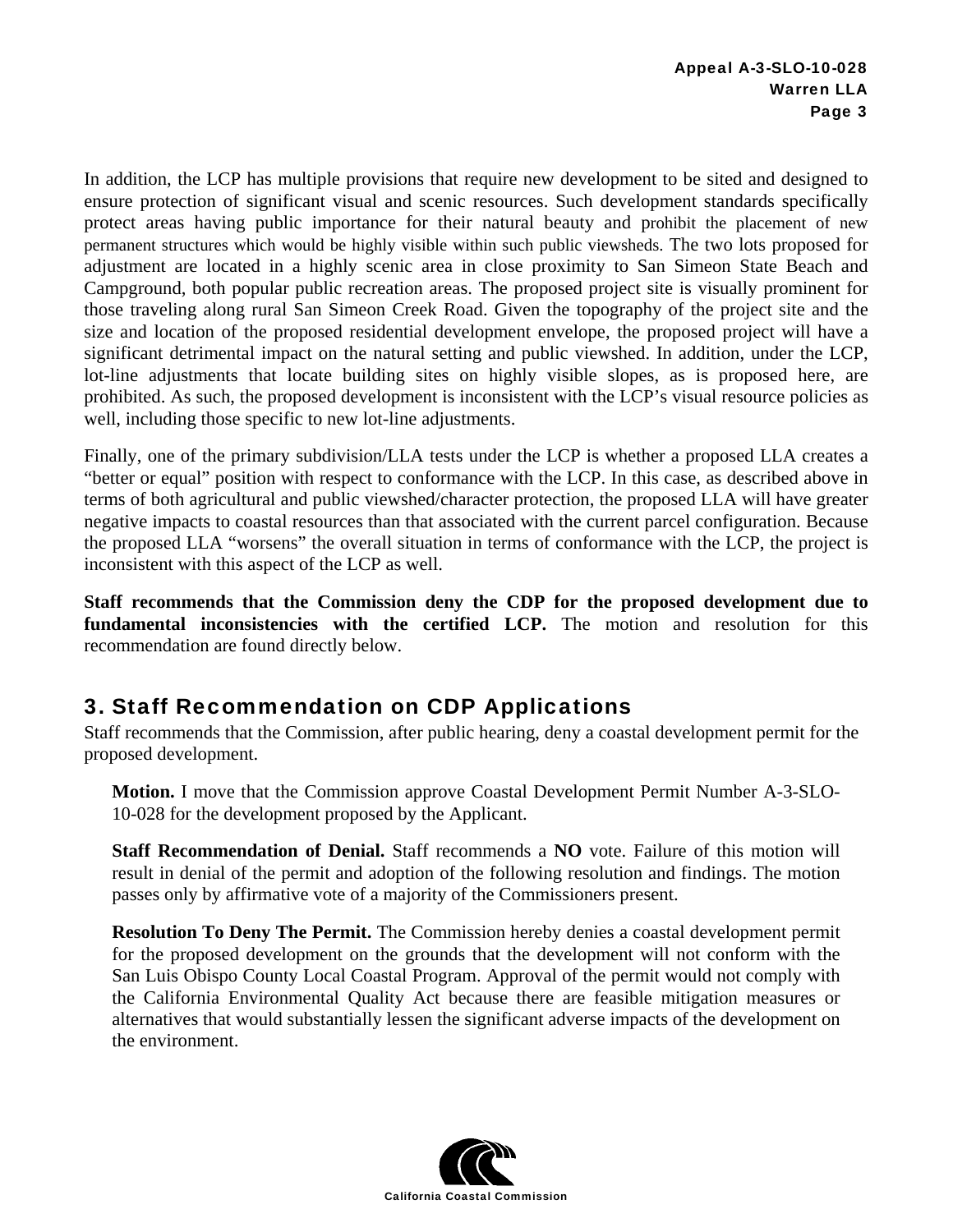In addition, the LCP has multiple provisions that require new development to be sited and designed to ensure protection of significant visual and scenic resources. Such development standards specifically protect areas having public importance for their natural beauty and prohibit the placement of new permanent structures which would be highly visible within such public viewsheds. The two lots proposed for adjustment are located in a highly scenic area in close proximity to San Simeon State Beach and Campground, both popular public recreation areas. The proposed project site is visually prominent for those traveling along rural San Simeon Creek Road. Given the topography of the project site and the size and location of the proposed residential development envelope, the proposed project will have a significant detrimental impact on the natural setting and public viewshed. In addition, under the LCP, lot-line adjustments that locate building sites on highly visible slopes, as is proposed here, are prohibited. As such, the proposed development is inconsistent with the LCP's visual resource policies as well, including those specific to new lot-line adjustments.

Finally, one of the primary subdivision/LLA tests under the LCP is whether a proposed LLA creates a "better or equal" position with respect to conformance with the LCP. In this case, as described above in terms of both agricultural and public viewshed/character protection, the proposed LLA will have greater negative impacts to coastal resources than that associated with the current parcel configuration. Because the proposed LLA "worsens" the overall situation in terms of conformance with the LCP, the project is inconsistent with this aspect of the LCP as well.

**Staff recommends that the Commission deny the CDP for the proposed development due to fundamental inconsistencies with the certified LCP.** The motion and resolution for this recommendation are found directly below.

## 3. Staff Recommendation on CDP Applications

Staff recommends that the Commission, after public hearing, deny a coastal development permit for the proposed development.

**Motion.** I move that the Commission approve Coastal Development Permit Number A-3-SLO-10-028 for the development proposed by the Applicant.

**Staff Recommendation of Denial.** Staff recommends a **NO** vote. Failure of this motion will result in denial of the permit and adoption of the following resolution and findings. The motion passes only by affirmative vote of a majority of the Commissioners present.

**Resolution To Deny The Permit.** The Commission hereby denies a coastal development permit for the proposed development on the grounds that the development will not conform with the San Luis Obispo County Local Coastal Program. Approval of the permit would not comply with the California Environmental Quality Act because there are feasible mitigation measures or alternatives that would substantially lessen the significant adverse impacts of the development on the environment.

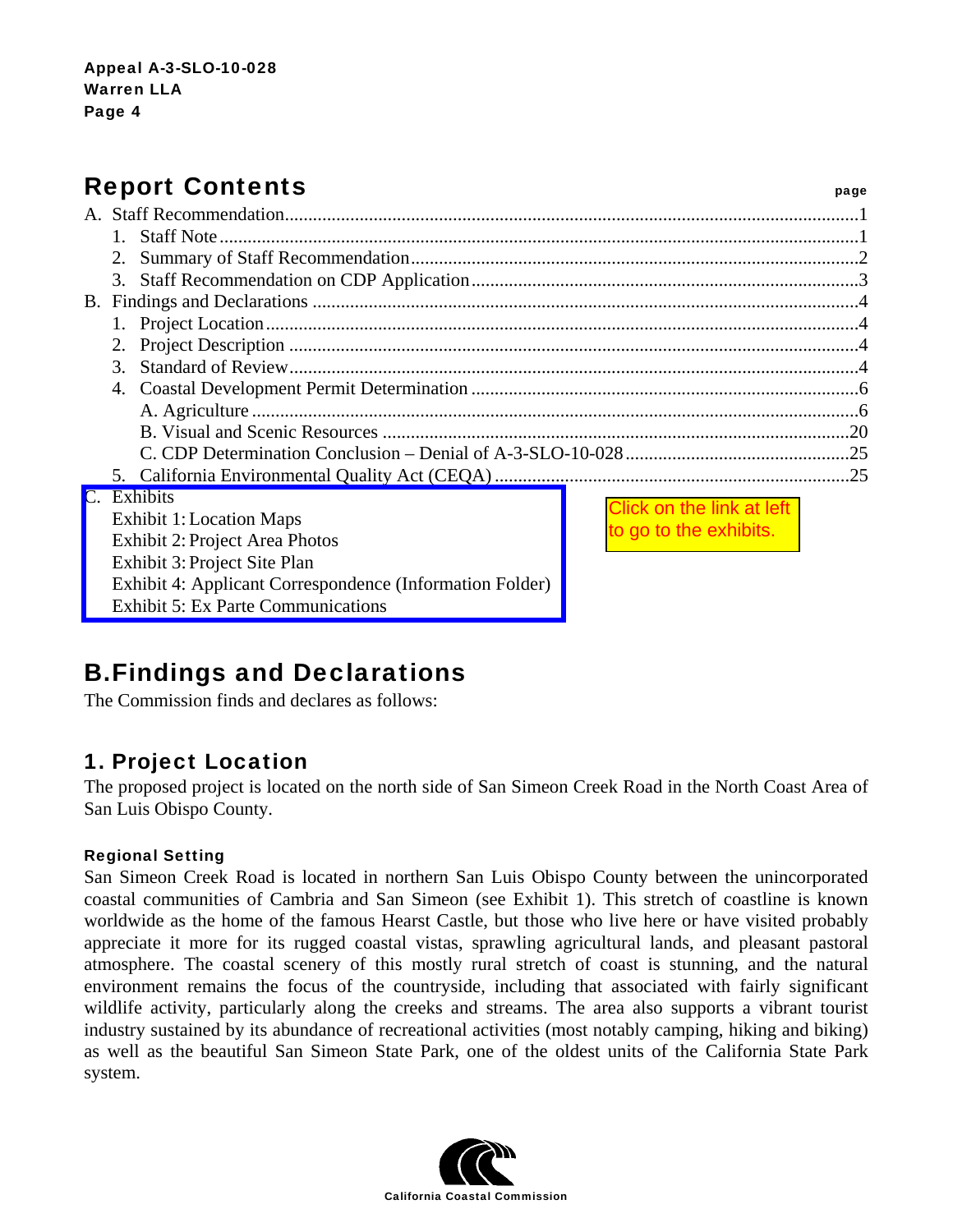# Report Contents **Report Contents**

| $3_{-}$  |                                       |                                  |  |
|----------|---------------------------------------|----------------------------------|--|
|          |                                       |                                  |  |
|          |                                       |                                  |  |
|          |                                       |                                  |  |
|          |                                       |                                  |  |
|          |                                       |                                  |  |
| Exhibits |                                       | <b>Click on the link at left</b> |  |
|          | <b>Exhibit 1: Location Maps</b>       |                                  |  |
|          | <b>Exhibit 2: Project Area Photos</b> | to go to the exhibits.           |  |
|          | Exhibit 3: Project Site Plan          |                                  |  |

B. Findings and Declarations

[Exhibit 4: Applicant Correspondence \(Information Folder\)](http://documents.coastal.ca.gov/reports/2010/11/Th14a-11-2010-a1.pdf) 

The Commission finds and declares as follows:

Exhibit 5: Ex Parte Communications

## 1. Project Location

The proposed project is located on the north side of San Simeon Creek Road in the North Coast Area of San Luis Obispo County.

#### Regional Setting

San Simeon Creek Road is located in northern San Luis Obispo County between the unincorporated coastal communities of Cambria and San Simeon (see Exhibit 1). This stretch of coastline is known worldwide as the home of the famous Hearst Castle, but those who live here or have visited probably appreciate it more for its rugged coastal vistas, sprawling agricultural lands, and pleasant pastoral atmosphere. The coastal scenery of this mostly rural stretch of coast is stunning, and the natural environment remains the focus of the countryside, including that associated with fairly significant wildlife activity, particularly along the creeks and streams. The area also supports a vibrant tourist industry sustained by its abundance of recreational activities (most notably camping, hiking and biking) as well as the beautiful San Simeon State Park, one of the oldest units of the California State Park system. Click on the link at left<br>
to go to the exhibits.<br>
Elongo to the exhibits.<br>
Commission<br>
Controllations<br>
Controllations<br>
Controllations<br>
Controllations<br>
Controllations<br>
Controllations<br>
Controllations<br>
Controllations<br>
Contro

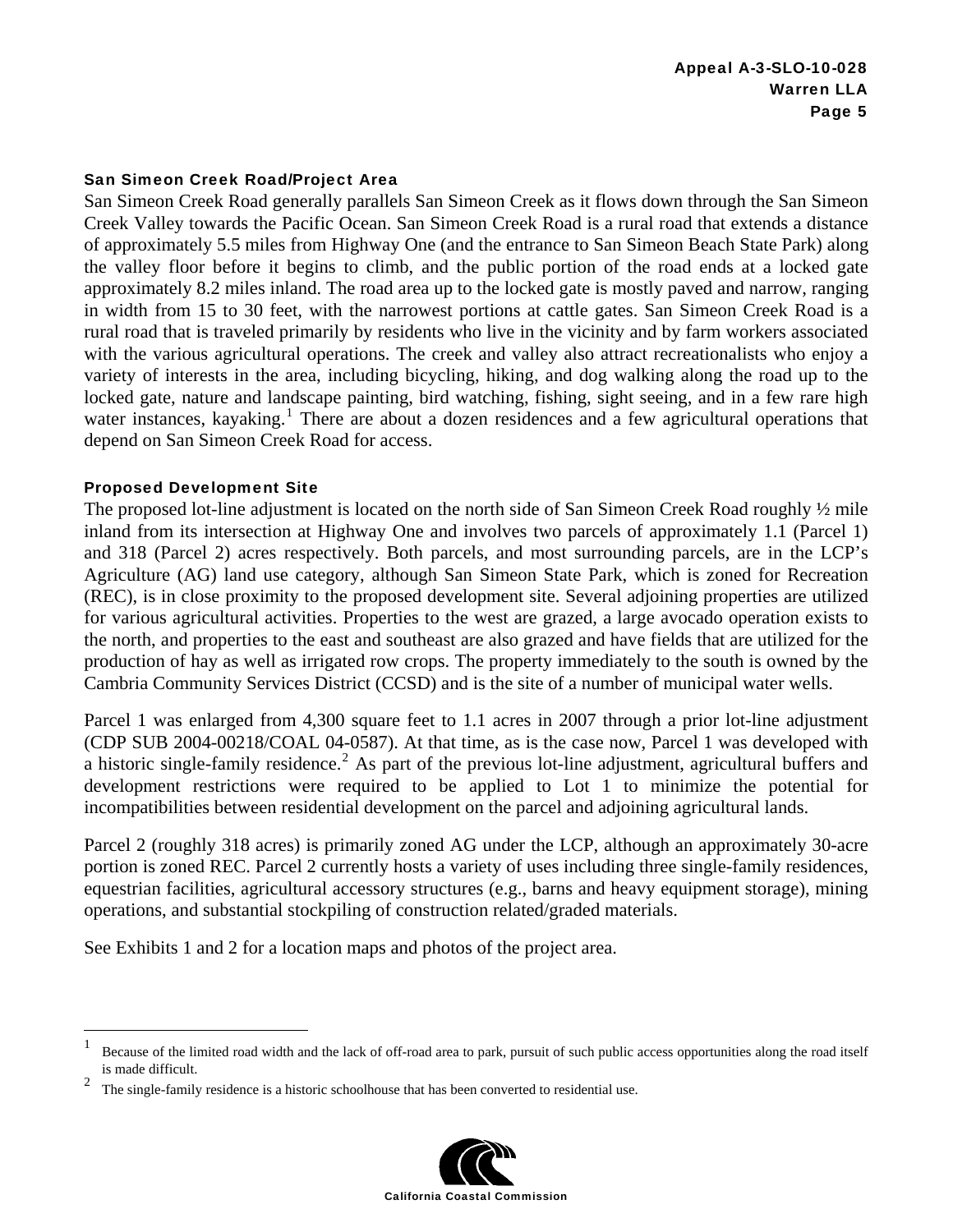#### San Simeon Creek Road/Project Area

San Simeon Creek Road generally parallels San Simeon Creek as it flows down through the San Simeon Creek Valley towards the Pacific Ocean. San Simeon Creek Road is a rural road that extends a distance of approximately 5.5 miles from Highway One (and the entrance to San Simeon Beach State Park) along the valley floor before it begins to climb, and the public portion of the road ends at a locked gate approximately 8.2 miles inland. The road area up to the locked gate is mostly paved and narrow, ranging in width from 15 to 30 feet, with the narrowest portions at cattle gates. San Simeon Creek Road is a rural road that is traveled primarily by residents who live in the vicinity and by farm workers associated with the various agricultural operations. The creek and valley also attract recreationalists who enjoy a variety of interests in the area, including bicycling, hiking, and dog walking along the road up to the locked gate, nature and landscape painting, bird watching, fishing, sight seeing, and in a few rare high water instances, kayaking.<sup>1</sup> There are about a dozen residences and a few agricultural operations that depend on San Simeon Creek Road for access.

#### Proposed Development Site

 $\overline{a}$ 

The proposed lot-line adjustment is located on the north side of San Simeon Creek Road roughly ½ mile inland from its intersection at Highway One and involves two parcels of approximately 1.1 (Parcel 1) and 318 (Parcel 2) acres respectively. Both parcels, and most surrounding parcels, are in the LCP's Agriculture (AG) land use category, although San Simeon State Park, which is zoned for Recreation (REC), is in close proximity to the proposed development site. Several adjoining properties are utilized for various agricultural activities. Properties to the west are grazed, a large avocado operation exists to the north, and properties to the east and southeast are also grazed and have fields that are utilized for the production of hay as well as irrigated row crops. The property immediately to the south is owned by the Cambria Community Services District (CCSD) and is the site of a number of municipal water wells.

Parcel 1 was enlarged from 4,300 square feet to 1.1 acres in 2007 through a prior lot-line adjustment (CDP SUB 2004-00218/COAL 04-0587). At that time, as is the case now, Parcel 1 was developed with a historic single-family residence.<sup>2</sup> As part of the previous lot-line adjustment, agricultural buffers and development restrictions were required to be applied to Lot 1 to minimize the potential for incompatibilities between residential development on the parcel and adjoining agricultural lands.

Parcel 2 (roughly 318 acres) is primarily zoned AG under the LCP, although an approximately 30-acre portion is zoned REC. Parcel 2 currently hosts a variety of uses including three single-family residences, equestrian facilities, agricultural accessory structures (e.g., barns and heavy equipment storage), mining operations, and substantial stockpiling of construction related/graded materials.

See Exhibits 1 and 2 for a location maps and photos of the project area.

<sup>2</sup> The single-family residence is a historic schoolhouse that has been converted to residential use.



<sup>1</sup> Because of the limited road width and the lack of off-road area to park, pursuit of such public access opportunities along the road itself is made difficult.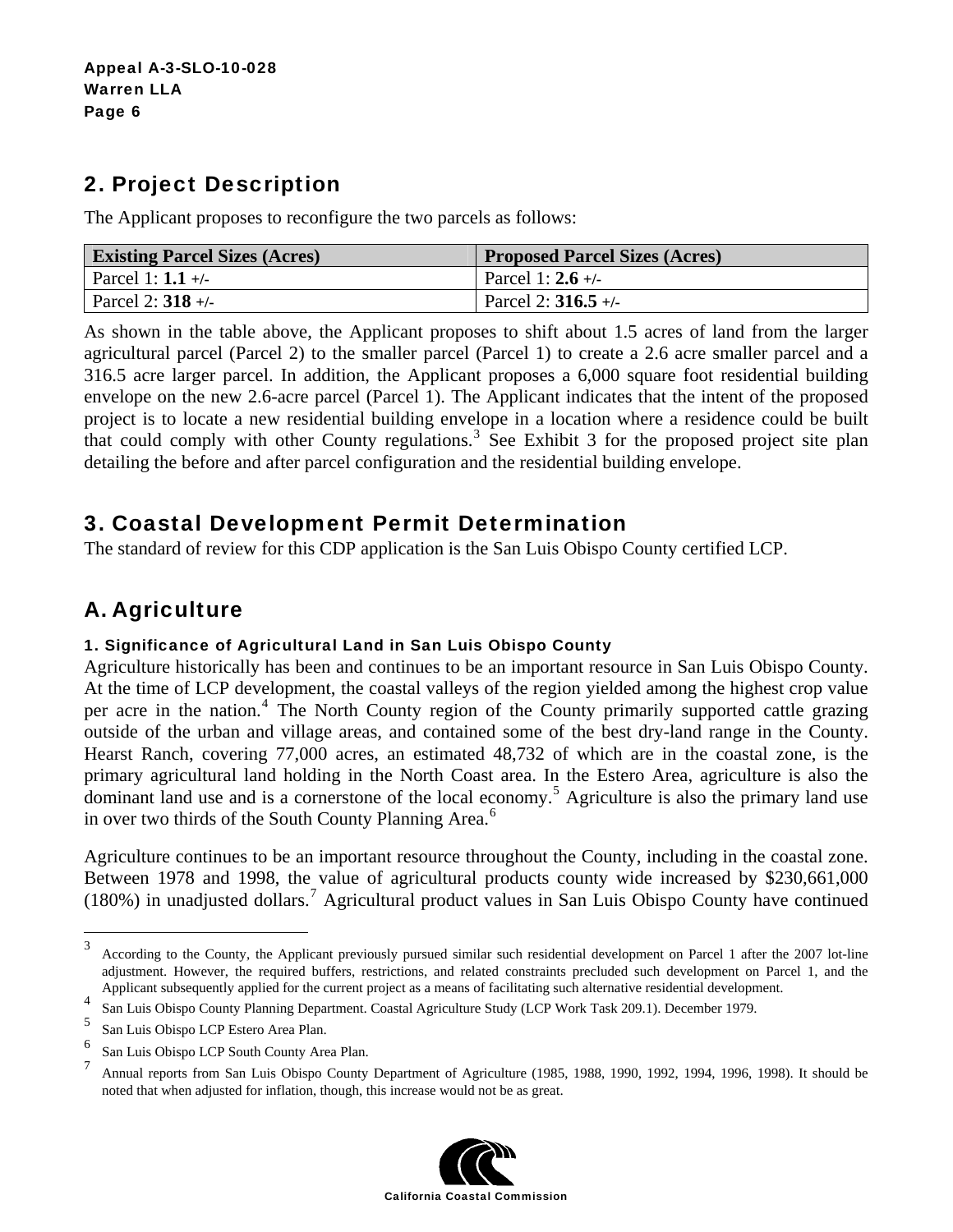# 2. Project Description

The Applicant proposes to reconfigure the two parcels as follows:

| <b>Existing Parcel Sizes (Acres)</b> | <b>Proposed Parcel Sizes (Acres)</b> |
|--------------------------------------|--------------------------------------|
| Parcel 1: $1.1 +/-$                  | Parcel 1: $2.6 +/-$                  |
| Parcel 2: $318 +$                    | Parcel 2: $316.5 +$                  |

As shown in the table above, the Applicant proposes to shift about 1.5 acres of land from the larger agricultural parcel (Parcel 2) to the smaller parcel (Parcel 1) to create a 2.6 acre smaller parcel and a 316.5 acre larger parcel. In addition, the Applicant proposes a 6,000 square foot residential building envelope on the new 2.6-acre parcel (Parcel 1). The Applicant indicates that the intent of the proposed project is to locate a new residential building envelope in a location where a residence could be built that could comply with other County regulations.<sup>3</sup> See Exhibit 3 for the proposed project site plan detailing the before and after parcel configuration and the residential building envelope.

## 3. Coastal Development Permit Determination

The standard of review for this CDP application is the San Luis Obispo County certified LCP.

# A. Agriculture

#### 1. Significance of Agricultural Land in San Luis Obispo County

Agriculture historically has been and continues to be an important resource in San Luis Obispo County. At the time of LCP development, the coastal valleys of the region yielded among the highest crop value per acre in the nation.<sup>4</sup> The North County region of the County primarily supported cattle grazing outside of the urban and village areas, and contained some of the best dry-land range in the County. Hearst Ranch, covering 77,000 acres, an estimated 48,732 of which are in the coastal zone, is the primary agricultural land holding in the North Coast area. In the Estero Area, agriculture is also the dominant land use and is a cornerstone of the local economy.<sup>5</sup> Agriculture is also the primary land use in over two thirds of the South County Planning Area. $^6$ 

Agriculture continues to be an important resource throughout the County, including in the coastal zone. Between 1978 and 1998, the value of agricultural products county wide increased by \$230,661,000 (180%) in unadjusted dollars.<sup>7</sup> Agricultural product values in San Luis Obispo County have continued

<u>.</u>

<sup>7</sup> Annual reports from San Luis Obispo County Department of Agriculture (1985, 1988, 1990, 1992, 1994, 1996, 1998). It should be noted that when adjusted for inflation, though, this increase would not be as great.



<sup>3</sup> According to the County, the Applicant previously pursued similar such residential development on Parcel 1 after the 2007 lot-line adjustment. However, the required buffers, restrictions, and related constraints precluded such development on Parcel 1, and the Applicant subsequently applied for the current project as a means of facilitating such alternative residential development.

<sup>4</sup> San Luis Obispo County Planning Department. Coastal Agriculture Study (LCP Work Task 209.1). December 1979.

<sup>5</sup> San Luis Obispo LCP Estero Area Plan.

<sup>6</sup> San Luis Obispo LCP South County Area Plan.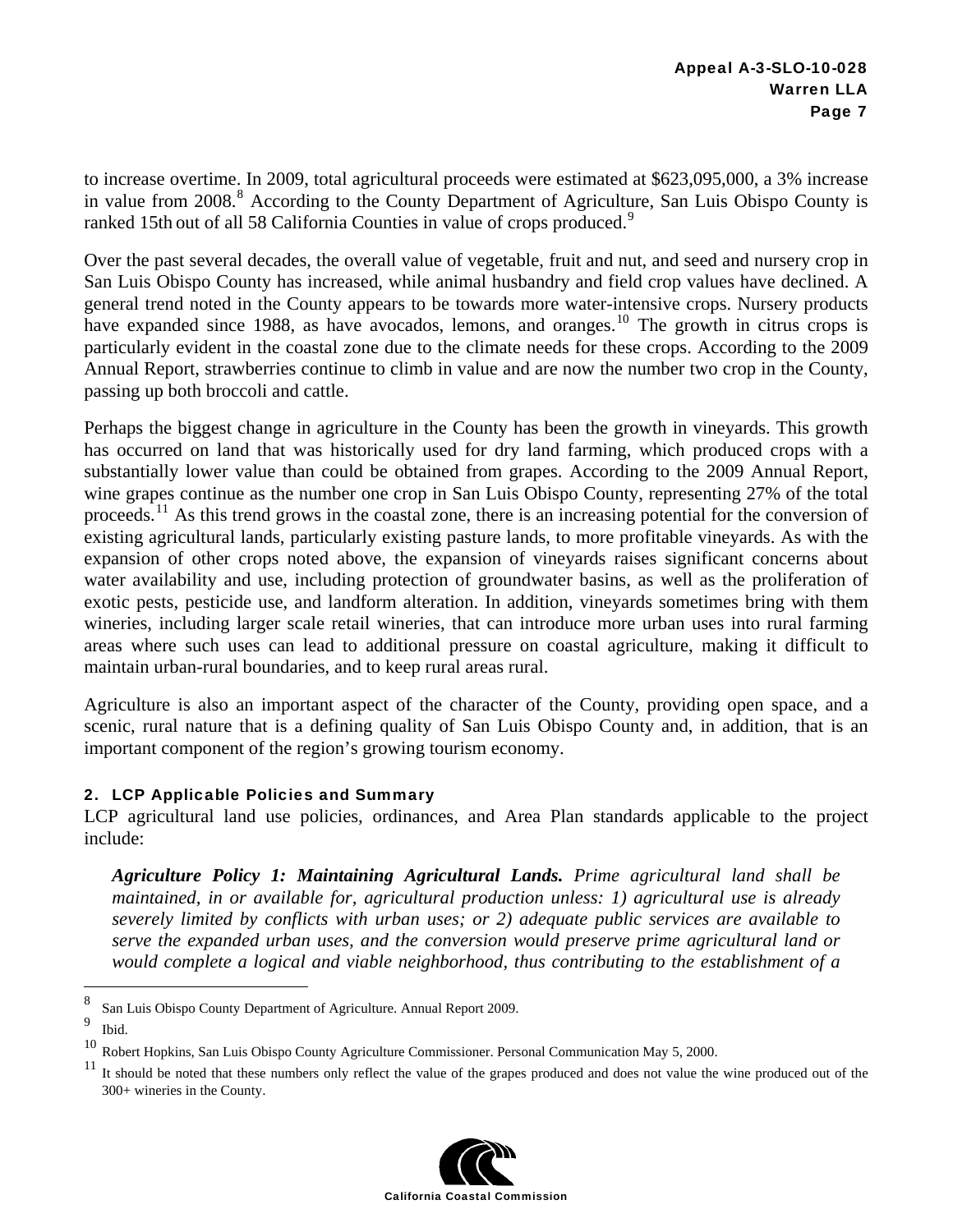to increase overtime. In 2009, total agricultural proceeds were estimated at \$623,095,000, a 3% increase in value from 2008.<sup>8</sup> According to the County Department of Agriculture, San Luis Obispo County is ranked 15th out of all 58 California Counties in value of crops produced.<sup>9</sup>

Over the past several decades, the overall value of vegetable, fruit and nut, and seed and nursery crop in San Luis Obispo County has increased, while animal husbandry and field crop values have declined. A general trend noted in the County appears to be towards more water-intensive crops. Nursery products have expanded since 1988, as have avocados, lemons, and oranges.<sup>10</sup> The growth in citrus crops is particularly evident in the coastal zone due to the climate needs for these crops. According to the 2009 Annual Report, strawberries continue to climb in value and are now the number two crop in the County, passing up both broccoli and cattle.

Perhaps the biggest change in agriculture in the County has been the growth in vineyards. This growth has occurred on land that was historically used for dry land farming, which produced crops with a substantially lower value than could be obtained from grapes. According to the 2009 Annual Report, wine grapes continue as the number one crop in San Luis Obispo County, representing 27% of the total proceeds.11 As this trend grows in the coastal zone, there is an increasing potential for the conversion of existing agricultural lands, particularly existing pasture lands, to more profitable vineyards. As with the expansion of other crops noted above, the expansion of vineyards raises significant concerns about water availability and use, including protection of groundwater basins, as well as the proliferation of exotic pests, pesticide use, and landform alteration. In addition, vineyards sometimes bring with them wineries, including larger scale retail wineries, that can introduce more urban uses into rural farming areas where such uses can lead to additional pressure on coastal agriculture, making it difficult to maintain urban-rural boundaries, and to keep rural areas rural.

Agriculture is also an important aspect of the character of the County, providing open space, and a scenic, rural nature that is a defining quality of San Luis Obispo County and, in addition, that is an important component of the region's growing tourism economy.

#### 2. LCP Applicable Policies and Summary

LCP agricultural land use policies, ordinances, and Area Plan standards applicable to the project include:

*Agriculture Policy 1: Maintaining Agricultural Lands. Prime agricultural land shall be maintained, in or available for, agricultural production unless: 1) agricultural use is already severely limited by conflicts with urban uses; or 2) adequate public services are available to serve the expanded urban uses, and the conversion would preserve prime agricultural land or would complete a logical and viable neighborhood, thus contributing to the establishment of a* 

<sup>&</sup>lt;sup>11</sup> It should be noted that these numbers only reflect the value of the grapes produced and does not value the wine produced out of the 300+ wineries in the County.



 8 San Luis Obispo County Department of Agriculture. Annual Report 2009.

<sup>9</sup>  $\frac{9}{10}$  Ibid.

<sup>10</sup> Robert Hopkins, San Luis Obispo County Agriculture Commissioner. Personal Communication May 5, 2000.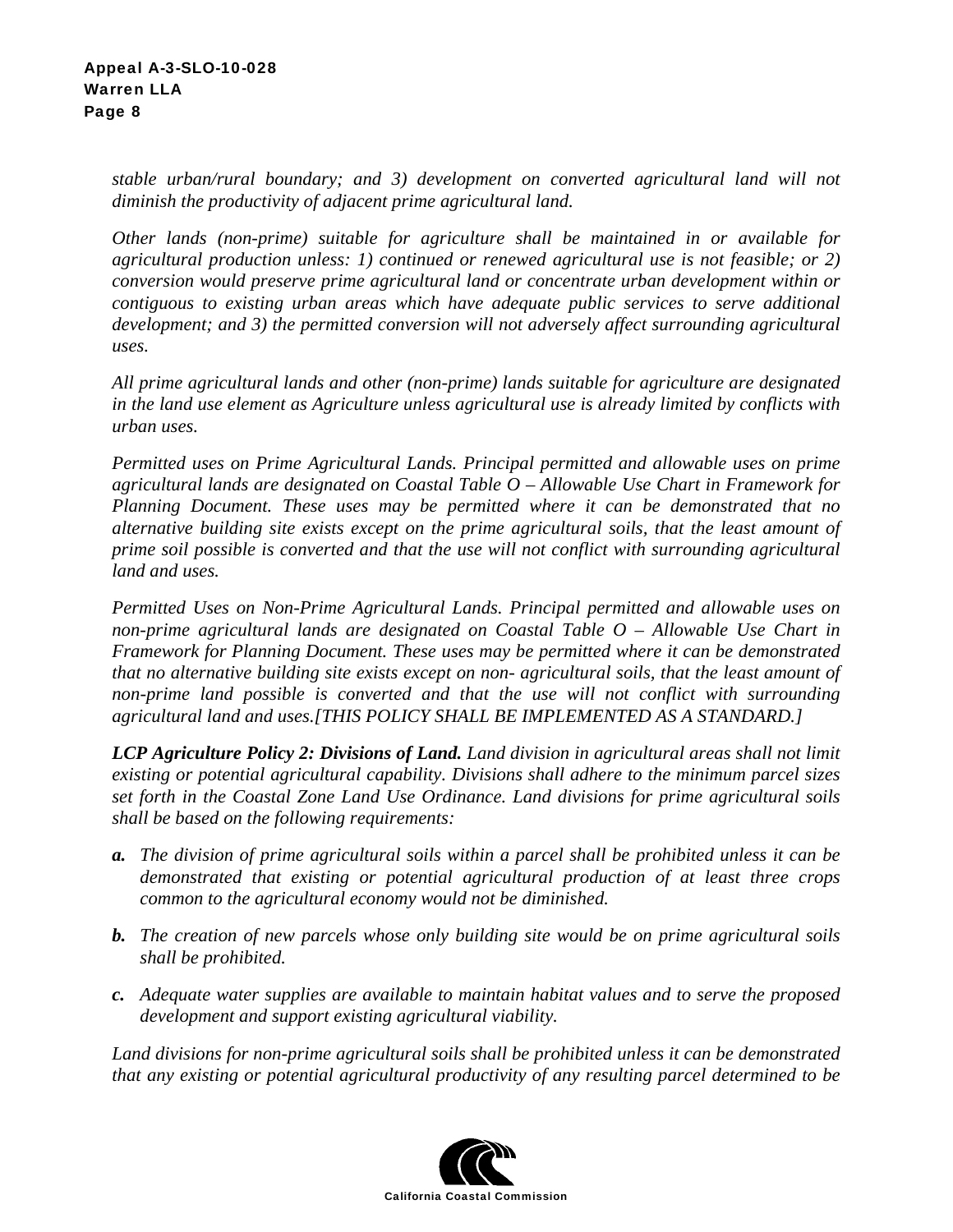*stable urban/rural boundary; and 3) development on converted agricultural land will not diminish the productivity of adjacent prime agricultural land.* 

*Other lands (non-prime) suitable for agriculture shall be maintained in or available for agricultural production unless: 1) continued or renewed agricultural use is not feasible; or 2) conversion would preserve prime agricultural land or concentrate urban development within or contiguous to existing urban areas which have adequate public services to serve additional development; and 3) the permitted conversion will not adversely affect surrounding agricultural uses.* 

*All prime agricultural lands and other (non-prime) lands suitable for agriculture are designated in the land use element as Agriculture unless agricultural use is already limited by conflicts with urban uses.* 

*Permitted uses on Prime Agricultural Lands. Principal permitted and allowable uses on prime agricultural lands are designated on Coastal Table O – Allowable Use Chart in Framework for Planning Document. These uses may be permitted where it can be demonstrated that no alternative building site exists except on the prime agricultural soils, that the least amount of prime soil possible is converted and that the use will not conflict with surrounding agricultural land and uses.* 

*Permitted Uses on Non-Prime Agricultural Lands. Principal permitted and allowable uses on non-prime agricultural lands are designated on Coastal Table O – Allowable Use Chart in Framework for Planning Document. These uses may be permitted where it can be demonstrated that no alternative building site exists except on non- agricultural soils, that the least amount of non-prime land possible is converted and that the use will not conflict with surrounding agricultural land and uses.[THIS POLICY SHALL BE IMPLEMENTED AS A STANDARD.]*

*LCP Agriculture Policy 2: Divisions of Land. Land division in agricultural areas shall not limit existing or potential agricultural capability. Divisions shall adhere to the minimum parcel sizes set forth in the Coastal Zone Land Use Ordinance. Land divisions for prime agricultural soils shall be based on the following requirements:* 

- *a. The division of prime agricultural soils within a parcel shall be prohibited unless it can be demonstrated that existing or potential agricultural production of at least three crops common to the agricultural economy would not be diminished.*
- *b. The creation of new parcels whose only building site would be on prime agricultural soils shall be prohibited.*
- *c. Adequate water supplies are available to maintain habitat values and to serve the proposed development and support existing agricultural viability.*

*Land divisions for non-prime agricultural soils shall be prohibited unless it can be demonstrated that any existing or potential agricultural productivity of any resulting parcel determined to be* 

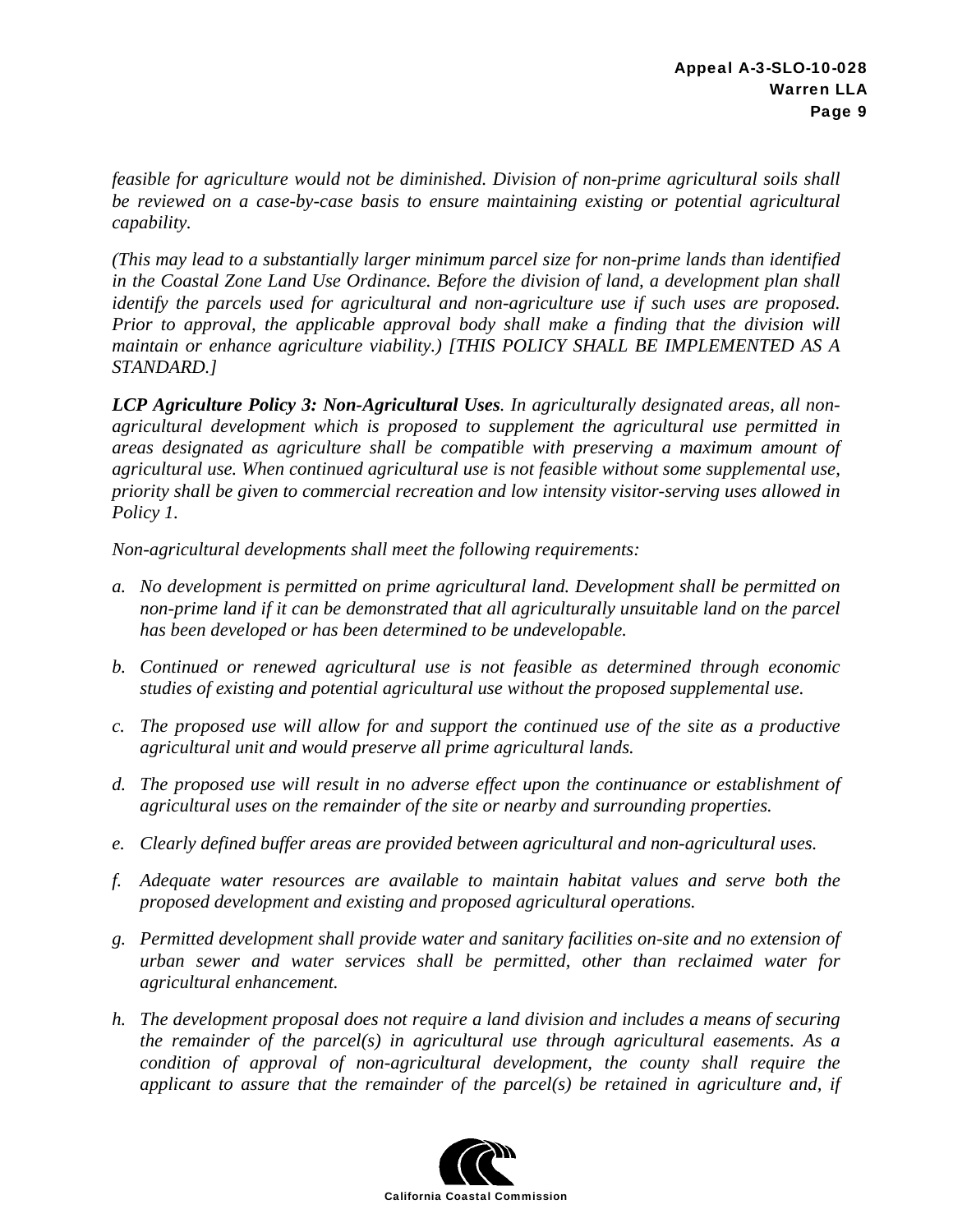*feasible for agriculture would not be diminished. Division of non-prime agricultural soils shall be reviewed on a case-by-case basis to ensure maintaining existing or potential agricultural capability.* 

*(This may lead to a substantially larger minimum parcel size for non-prime lands than identified in the Coastal Zone Land Use Ordinance. Before the division of land, a development plan shall identify the parcels used for agricultural and non-agriculture use if such uses are proposed. Prior to approval, the applicable approval body shall make a finding that the division will maintain or enhance agriculture viability.) [THIS POLICY SHALL BE IMPLEMENTED AS A STANDARD.]* 

*LCP Agriculture Policy 3: Non-Agricultural Uses. In agriculturally designated areas, all nonagricultural development which is proposed to supplement the agricultural use permitted in areas designated as agriculture shall be compatible with preserving a maximum amount of agricultural use. When continued agricultural use is not feasible without some supplemental use, priority shall be given to commercial recreation and low intensity visitor-serving uses allowed in Policy 1.* 

*Non-agricultural developments shall meet the following requirements:* 

- *a. No development is permitted on prime agricultural land. Development shall be permitted on non-prime land if it can be demonstrated that all agriculturally unsuitable land on the parcel has been developed or has been determined to be undevelopable.*
- *b. Continued or renewed agricultural use is not feasible as determined through economic studies of existing and potential agricultural use without the proposed supplemental use.*
- *c. The proposed use will allow for and support the continued use of the site as a productive agricultural unit and would preserve all prime agricultural lands.*
- *d. The proposed use will result in no adverse effect upon the continuance or establishment of agricultural uses on the remainder of the site or nearby and surrounding properties.*
- *e. Clearly defined buffer areas are provided between agricultural and non-agricultural uses.*
- *f. Adequate water resources are available to maintain habitat values and serve both the proposed development and existing and proposed agricultural operations.*
- *g. Permitted development shall provide water and sanitary facilities on-site and no extension of urban sewer and water services shall be permitted, other than reclaimed water for agricultural enhancement.*
- *h. The development proposal does not require a land division and includes a means of securing the remainder of the parcel(s) in agricultural use through agricultural easements. As a condition of approval of non-agricultural development, the county shall require the applicant to assure that the remainder of the parcel(s) be retained in agriculture and, if*

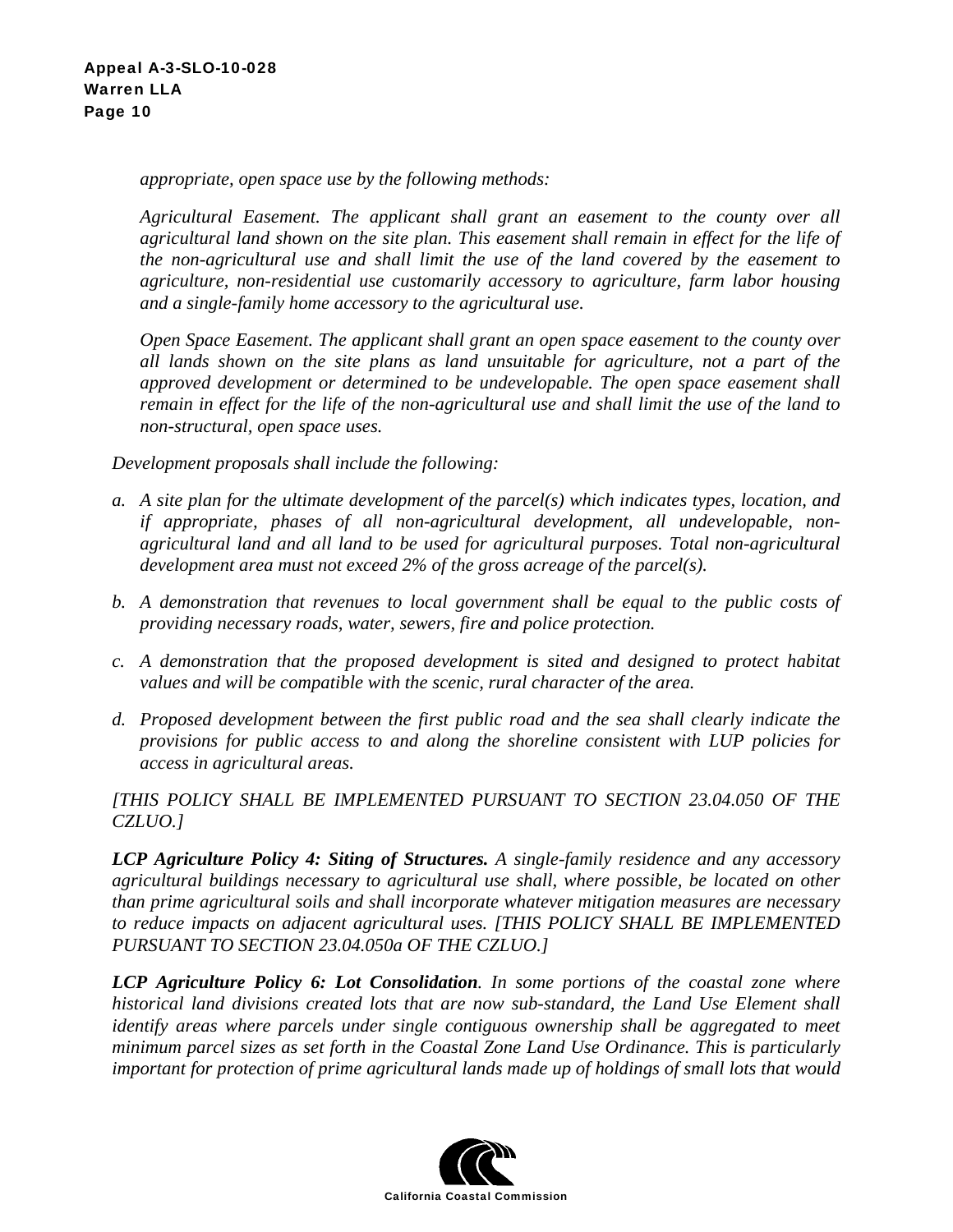*appropriate, open space use by the following methods:* 

*Agricultural Easement. The applicant shall grant an easement to the county over all agricultural land shown on the site plan. This easement shall remain in effect for the life of the non-agricultural use and shall limit the use of the land covered by the easement to agriculture, non-residential use customarily accessory to agriculture, farm labor housing and a single-family home accessory to the agricultural use.* 

*Open Space Easement. The applicant shall grant an open space easement to the county over all lands shown on the site plans as land unsuitable for agriculture, not a part of the approved development or determined to be undevelopable. The open space easement shall remain in effect for the life of the non-agricultural use and shall limit the use of the land to non-structural, open space uses.* 

*Development proposals shall include the following:* 

- *a. A site plan for the ultimate development of the parcel(s) which indicates types, location, and if appropriate, phases of all non-agricultural development, all undevelopable, nonagricultural land and all land to be used for agricultural purposes. Total non-agricultural development area must not exceed 2% of the gross acreage of the parcel(s).*
- *b. A demonstration that revenues to local government shall be equal to the public costs of providing necessary roads, water, sewers, fire and police protection.*
- *c. A demonstration that the proposed development is sited and designed to protect habitat values and will be compatible with the scenic, rural character of the area.*
- *d. Proposed development between the first public road and the sea shall clearly indicate the provisions for public access to and along the shoreline consistent with LUP policies for access in agricultural areas.*

*[THIS POLICY SHALL BE IMPLEMENTED PURSUANT TO SECTION 23.04.050 OF THE CZLUO.]* 

*LCP Agriculture Policy 4: Siting of Structures. A single-family residence and any accessory agricultural buildings necessary to agricultural use shall, where possible, be located on other than prime agricultural soils and shall incorporate whatever mitigation measures are necessary to reduce impacts on adjacent agricultural uses. [THIS POLICY SHALL BE IMPLEMENTED PURSUANT TO SECTION 23.04.050a OF THE CZLUO.]* 

*LCP Agriculture Policy 6: Lot Consolidation. In some portions of the coastal zone where historical land divisions created lots that are now sub-standard, the Land Use Element shall identify areas where parcels under single contiguous ownership shall be aggregated to meet minimum parcel sizes as set forth in the Coastal Zone Land Use Ordinance. This is particularly important for protection of prime agricultural lands made up of holdings of small lots that would* 

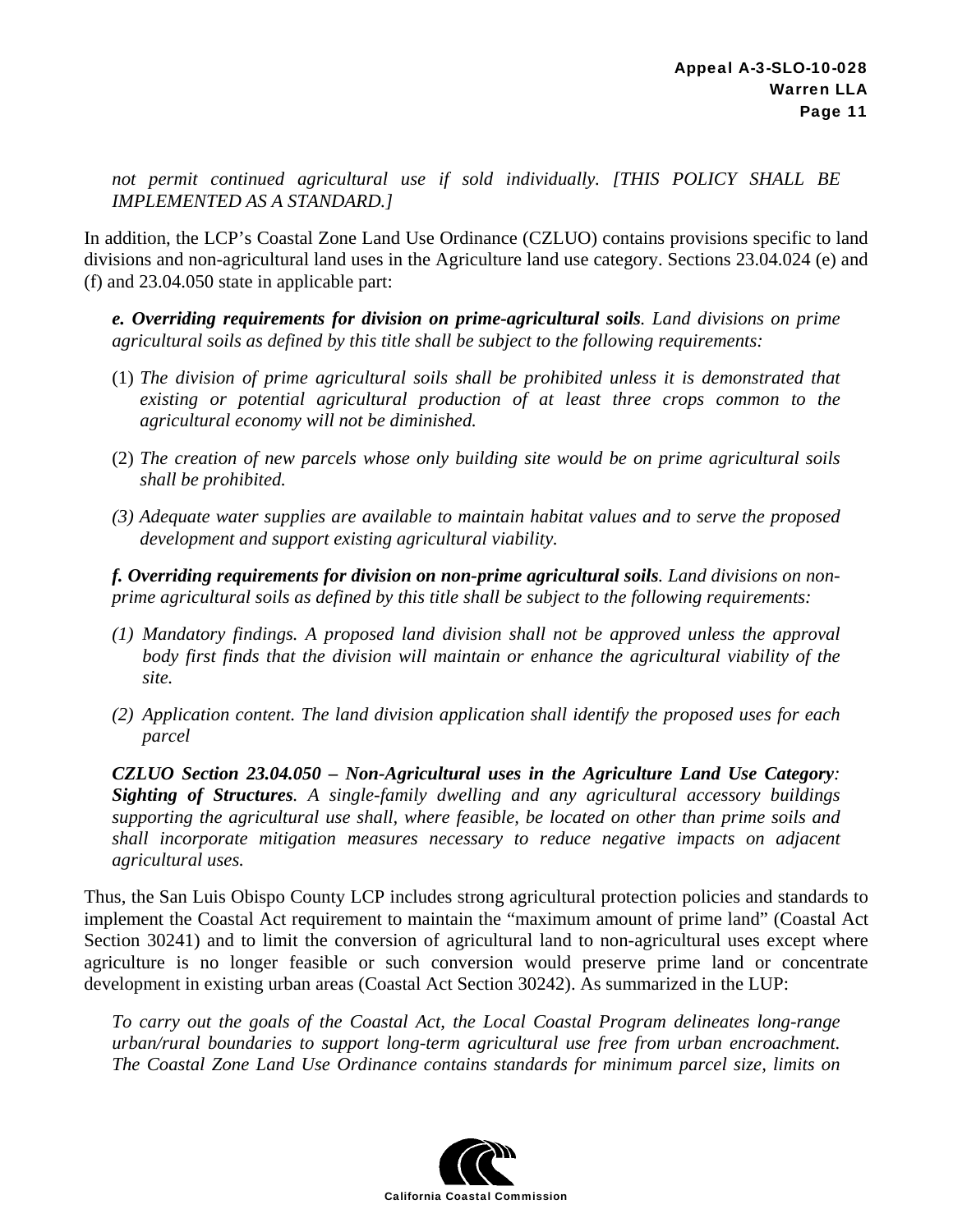*not permit continued agricultural use if sold individually. [THIS POLICY SHALL BE IMPLEMENTED AS A STANDARD.]*

In addition, the LCP's Coastal Zone Land Use Ordinance (CZLUO) contains provisions specific to land divisions and non-agricultural land uses in the Agriculture land use category. Sections 23.04.024 (e) and (f) and 23.04.050 state in applicable part:

*e. Overriding requirements for division on prime-agricultural soils. Land divisions on prime agricultural soils as defined by this title shall be subject to the following requirements:* 

- (1) *The division of prime agricultural soils shall be prohibited unless it is demonstrated that existing or potential agricultural production of at least three crops common to the agricultural economy will not be diminished.*
- (2) *The creation of new parcels whose only building site would be on prime agricultural soils shall be prohibited.*
- *(3) Adequate water supplies are available to maintain habitat values and to serve the proposed development and support existing agricultural viability.*

*f. Overriding requirements for division on non-prime agricultural soils. Land divisions on nonprime agricultural soils as defined by this title shall be subject to the following requirements:* 

- *(1) Mandatory findings. A proposed land division shall not be approved unless the approval body first finds that the division will maintain or enhance the agricultural viability of the site.*
- *(2) Application content. The land division application shall identify the proposed uses for each parcel*

*CZLUO Section 23.04.050 – Non-Agricultural uses in the Agriculture Land Use Category: Sighting of Structures. A single-family dwelling and any agricultural accessory buildings supporting the agricultural use shall, where feasible, be located on other than prime soils and shall incorporate mitigation measures necessary to reduce negative impacts on adjacent agricultural uses.* 

Thus, the San Luis Obispo County LCP includes strong agricultural protection policies and standards to implement the Coastal Act requirement to maintain the "maximum amount of prime land" (Coastal Act Section 30241) and to limit the conversion of agricultural land to non-agricultural uses except where agriculture is no longer feasible or such conversion would preserve prime land or concentrate development in existing urban areas (Coastal Act Section 30242). As summarized in the LUP:

*To carry out the goals of the Coastal Act, the Local Coastal Program delineates long-range urban/rural boundaries to support long-term agricultural use free from urban encroachment. The Coastal Zone Land Use Ordinance contains standards for minimum parcel size, limits on* 

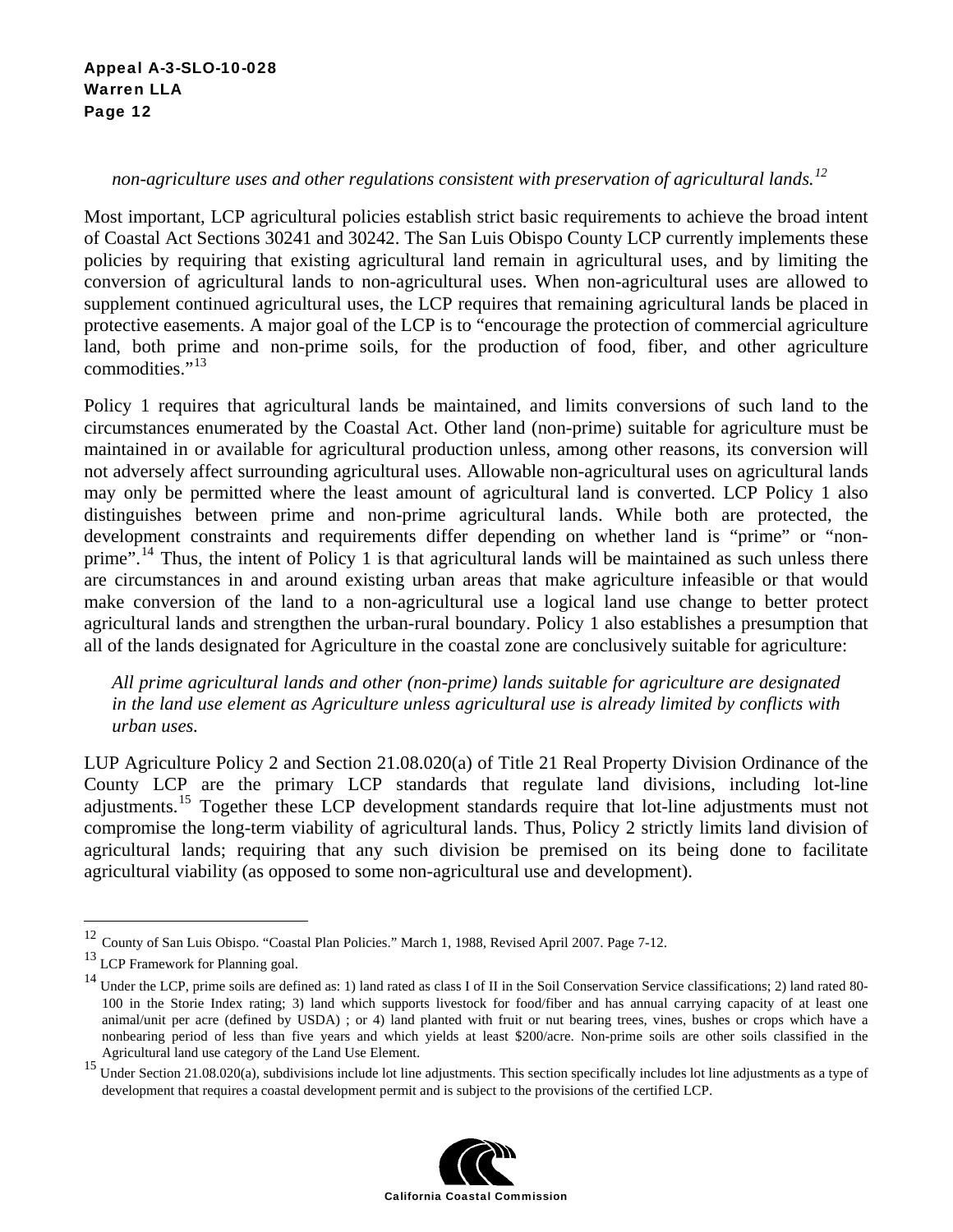#### Appeal A-3-SLO-10-028 Warren LLA Page 12

#### *non-agriculture uses and other regulations consistent with preservation of agricultural lands.<sup>12</sup>*

Most important, LCP agricultural policies establish strict basic requirements to achieve the broad intent of Coastal Act Sections 30241 and 30242. The San Luis Obispo County LCP currently implements these policies by requiring that existing agricultural land remain in agricultural uses, and by limiting the conversion of agricultural lands to non-agricultural uses. When non-agricultural uses are allowed to supplement continued agricultural uses, the LCP requires that remaining agricultural lands be placed in protective easements. A major goal of the LCP is to "encourage the protection of commercial agriculture land, both prime and non-prime soils, for the production of food, fiber, and other agriculture commodities."<sup>13</sup>

Policy 1 requires that agricultural lands be maintained, and limits conversions of such land to the circumstances enumerated by the Coastal Act. Other land (non-prime) suitable for agriculture must be maintained in or available for agricultural production unless, among other reasons, its conversion will not adversely affect surrounding agricultural uses. Allowable non-agricultural uses on agricultural lands may only be permitted where the least amount of agricultural land is converted. LCP Policy 1 also distinguishes between prime and non-prime agricultural lands. While both are protected, the development constraints and requirements differ depending on whether land is "prime" or "nonprime".<sup>14</sup> Thus, the intent of Policy 1 is that agricultural lands will be maintained as such unless there are circumstances in and around existing urban areas that make agriculture infeasible or that would make conversion of the land to a non-agricultural use a logical land use change to better protect agricultural lands and strengthen the urban-rural boundary. Policy 1 also establishes a presumption that all of the lands designated for Agriculture in the coastal zone are conclusively suitable for agriculture:

*All prime agricultural lands and other (non-prime) lands suitable for agriculture are designated in the land use element as Agriculture unless agricultural use is already limited by conflicts with urban uses.* 

LUP Agriculture Policy 2 and Section 21.08.020(a) of Title 21 Real Property Division Ordinance of the County LCP are the primary LCP standards that regulate land divisions, including lot-line adjustments.<sup>15</sup> Together these LCP development standards require that lot-line adjustments must not compromise the long-term viability of agricultural lands. Thus, Policy 2 strictly limits land division of agricultural lands; requiring that any such division be premised on its being done to facilitate agricultural viability (as opposed to some non-agricultural use and development).

 $\overline{a}$ 

<sup>&</sup>lt;sup>15</sup> Under Section 21.08.020(a), subdivisions include lot line adjustments. This section specifically includes lot line adjustments as a type of development that requires a coastal development permit and is subject to the provisions of the certified LCP.



<sup>&</sup>lt;sup>12</sup> County of San Luis Obispo. "Coastal Plan Policies." March 1, 1988, Revised April 2007. Page 7-12.

<sup>13</sup> LCP Framework for Planning goal.

<sup>&</sup>lt;sup>14</sup> Under the LCP, prime soils are defined as: 1) land rated as class I of II in the Soil Conservation Service classifications; 2) land rated 80-100 in the Storie Index rating; 3) land which supports livestock for food/fiber and has annual carrying capacity of at least one animal/unit per acre (defined by USDA) ; or 4) land planted with fruit or nut bearing trees, vines, bushes or crops which have a nonbearing period of less than five years and which yields at least \$200/acre. Non-prime soils are other soils classified in the Agricultural land use category of the Land Use Element.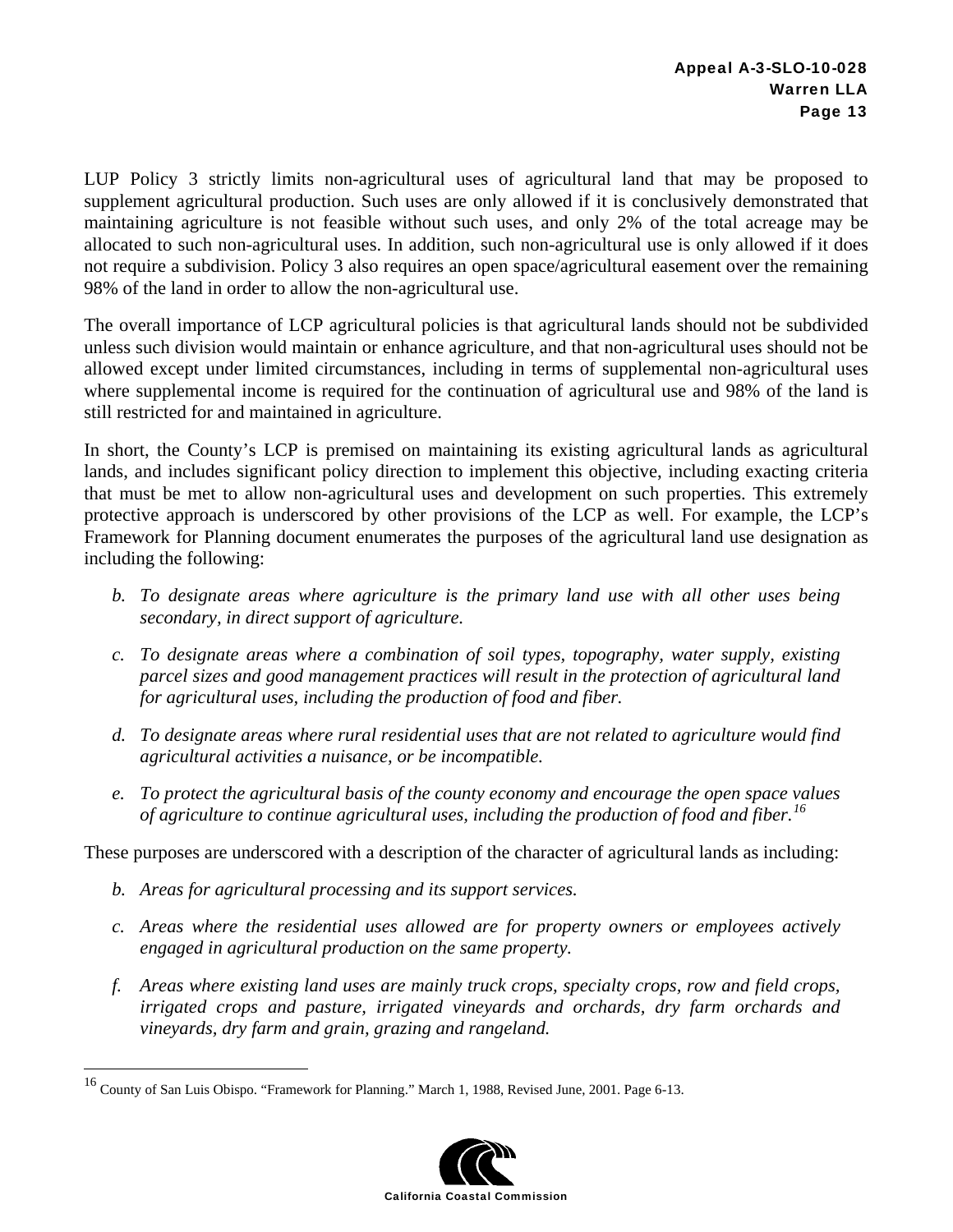LUP Policy 3 strictly limits non-agricultural uses of agricultural land that may be proposed to supplement agricultural production. Such uses are only allowed if it is conclusively demonstrated that maintaining agriculture is not feasible without such uses, and only 2% of the total acreage may be allocated to such non-agricultural uses. In addition, such non-agricultural use is only allowed if it does not require a subdivision. Policy 3 also requires an open space/agricultural easement over the remaining 98% of the land in order to allow the non-agricultural use.

The overall importance of LCP agricultural policies is that agricultural lands should not be subdivided unless such division would maintain or enhance agriculture, and that non-agricultural uses should not be allowed except under limited circumstances, including in terms of supplemental non-agricultural uses where supplemental income is required for the continuation of agricultural use and 98% of the land is still restricted for and maintained in agriculture.

In short, the County's LCP is premised on maintaining its existing agricultural lands as agricultural lands, and includes significant policy direction to implement this objective, including exacting criteria that must be met to allow non-agricultural uses and development on such properties. This extremely protective approach is underscored by other provisions of the LCP as well. For example, the LCP's Framework for Planning document enumerates the purposes of the agricultural land use designation as including the following:

- *b. To designate areas where agriculture is the primary land use with all other uses being secondary, in direct support of agriculture.*
- *c. To designate areas where a combination of soil types, topography, water supply, existing parcel sizes and good management practices will result in the protection of agricultural land for agricultural uses, including the production of food and fiber.*
- *d. To designate areas where rural residential uses that are not related to agriculture would find agricultural activities a nuisance, or be incompatible.*
- *e. To protect the agricultural basis of the county economy and encourage the open space values of agriculture to continue agricultural uses, including the production of food and fiber.16*

These purposes are underscored with a description of the character of agricultural lands as including:

*b. Areas for agricultural processing and its support services.* 

 $\overline{a}$ 

- *c. Areas where the residential uses allowed are for property owners or employees actively engaged in agricultural production on the same property.*
- *f. Areas where existing land uses are mainly truck crops, specialty crops, row and field crops, irrigated crops and pasture, irrigated vineyards and orchards, dry farm orchards and vineyards, dry farm and grain, grazing and rangeland.*

<sup>16</sup> County of San Luis Obispo. "Framework for Planning." March 1, 1988, Revised June, 2001. Page 6-13.

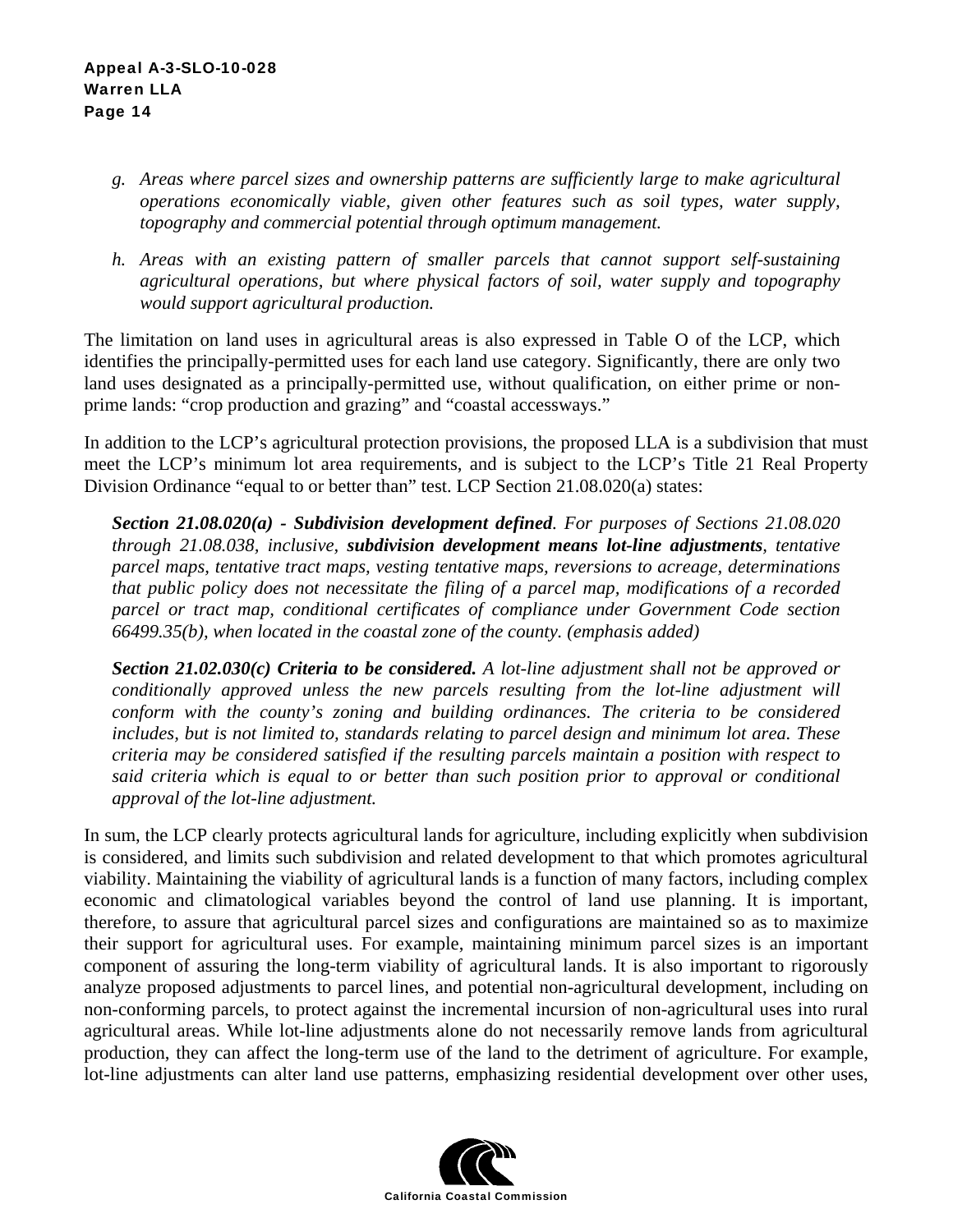#### Appeal A-3-SLO-10-028 Warren LLA Page 14

- *g. Areas where parcel sizes and ownership patterns are sufficiently large to make agricultural operations economically viable, given other features such as soil types, water supply, topography and commercial potential through optimum management.*
- *h. Areas with an existing pattern of smaller parcels that cannot support self-sustaining agricultural operations, but where physical factors of soil, water supply and topography would support agricultural production.*

The limitation on land uses in agricultural areas is also expressed in Table O of the LCP, which identifies the principally-permitted uses for each land use category. Significantly, there are only two land uses designated as a principally-permitted use, without qualification, on either prime or nonprime lands: "crop production and grazing" and "coastal accessways."

In addition to the LCP's agricultural protection provisions, the proposed LLA is a subdivision that must meet the LCP's minimum lot area requirements, and is subject to the LCP's Title 21 Real Property Division Ordinance "equal to or better than" test. LCP Section 21.08.020(a) states:

*Section 21.08.020(a) - Subdivision development defined. For purposes of Sections 21.08.020 through 21.08.038, inclusive, subdivision development means lot-line adjustments, tentative parcel maps, tentative tract maps, vesting tentative maps, reversions to acreage, determinations that public policy does not necessitate the filing of a parcel map, modifications of a recorded parcel or tract map, conditional certificates of compliance under Government Code section 66499.35(b), when located in the coastal zone of the county. (emphasis added)* 

*Section 21.02.030(c) Criteria to be considered. A lot-line adjustment shall not be approved or conditionally approved unless the new parcels resulting from the lot-line adjustment will conform with the county's zoning and building ordinances. The criteria to be considered includes, but is not limited to, standards relating to parcel design and minimum lot area. These criteria may be considered satisfied if the resulting parcels maintain a position with respect to said criteria which is equal to or better than such position prior to approval or conditional approval of the lot-line adjustment.* 

In sum, the LCP clearly protects agricultural lands for agriculture, including explicitly when subdivision is considered, and limits such subdivision and related development to that which promotes agricultural viability. Maintaining the viability of agricultural lands is a function of many factors, including complex economic and climatological variables beyond the control of land use planning. It is important, therefore, to assure that agricultural parcel sizes and configurations are maintained so as to maximize their support for agricultural uses. For example, maintaining minimum parcel sizes is an important component of assuring the long-term viability of agricultural lands. It is also important to rigorously analyze proposed adjustments to parcel lines, and potential non-agricultural development, including on non-conforming parcels, to protect against the incremental incursion of non-agricultural uses into rural agricultural areas. While lot-line adjustments alone do not necessarily remove lands from agricultural production, they can affect the long-term use of the land to the detriment of agriculture. For example, lot-line adjustments can alter land use patterns, emphasizing residential development over other uses,

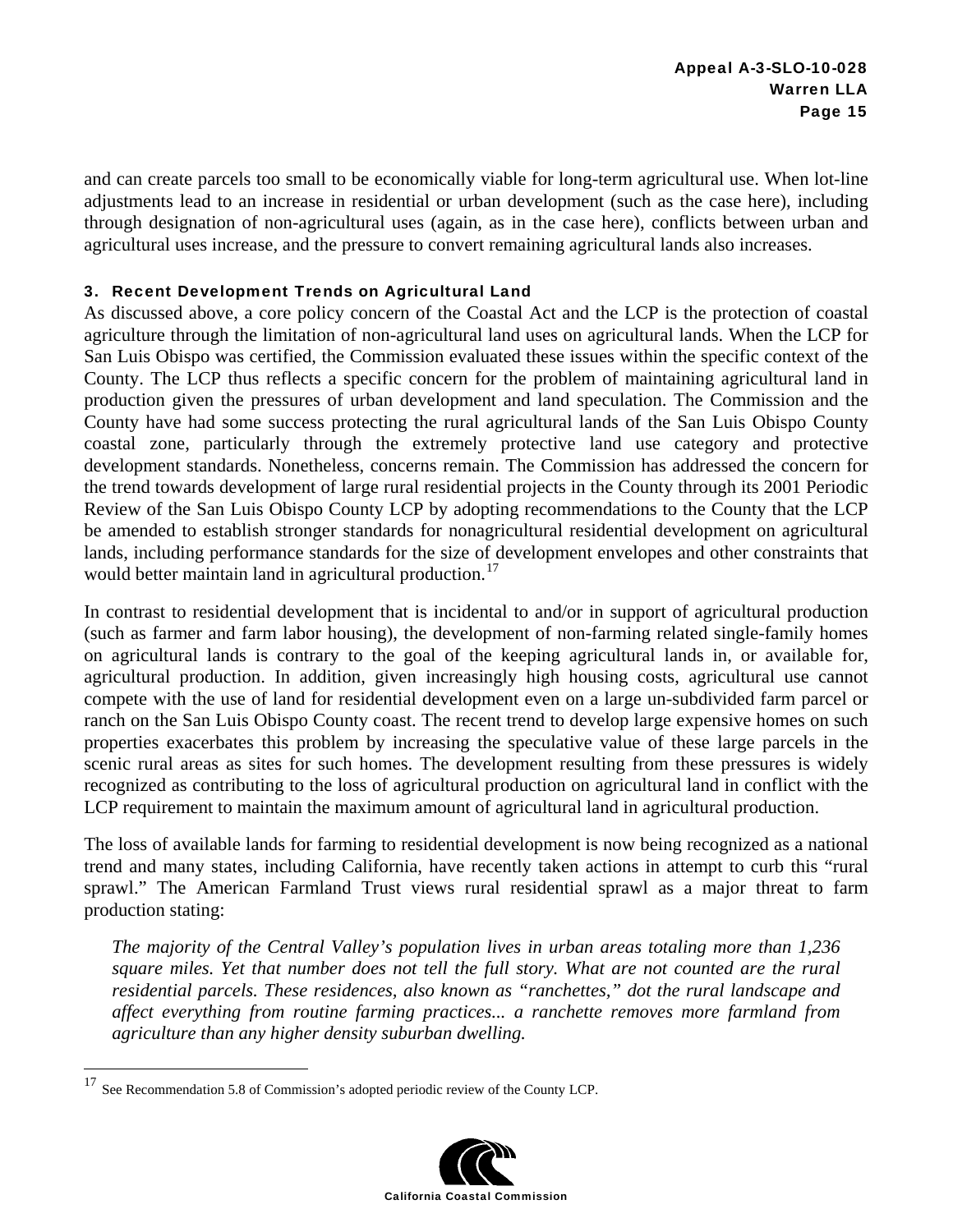and can create parcels too small to be economically viable for long-term agricultural use. When lot-line adjustments lead to an increase in residential or urban development (such as the case here), including through designation of non-agricultural uses (again, as in the case here), conflicts between urban and agricultural uses increase, and the pressure to convert remaining agricultural lands also increases.

#### 3. Recent Development Trends on Agricultural Land

As discussed above, a core policy concern of the Coastal Act and the LCP is the protection of coastal agriculture through the limitation of non-agricultural land uses on agricultural lands. When the LCP for San Luis Obispo was certified, the Commission evaluated these issues within the specific context of the County. The LCP thus reflects a specific concern for the problem of maintaining agricultural land in production given the pressures of urban development and land speculation. The Commission and the County have had some success protecting the rural agricultural lands of the San Luis Obispo County coastal zone, particularly through the extremely protective land use category and protective development standards. Nonetheless, concerns remain. The Commission has addressed the concern for the trend towards development of large rural residential projects in the County through its 2001 Periodic Review of the San Luis Obispo County LCP by adopting recommendations to the County that the LCP be amended to establish stronger standards for nonagricultural residential development on agricultural lands, including performance standards for the size of development envelopes and other constraints that would better maintain land in agricultural production.<sup>17</sup>

In contrast to residential development that is incidental to and/or in support of agricultural production (such as farmer and farm labor housing), the development of non-farming related single-family homes on agricultural lands is contrary to the goal of the keeping agricultural lands in, or available for, agricultural production. In addition, given increasingly high housing costs, agricultural use cannot compete with the use of land for residential development even on a large un-subdivided farm parcel or ranch on the San Luis Obispo County coast. The recent trend to develop large expensive homes on such properties exacerbates this problem by increasing the speculative value of these large parcels in the scenic rural areas as sites for such homes. The development resulting from these pressures is widely recognized as contributing to the loss of agricultural production on agricultural land in conflict with the LCP requirement to maintain the maximum amount of agricultural land in agricultural production.

The loss of available lands for farming to residential development is now being recognized as a national trend and many states, including California, have recently taken actions in attempt to curb this "rural sprawl." The American Farmland Trust views rural residential sprawl as a major threat to farm production stating:

*The majority of the Central Valley's population lives in urban areas totaling more than 1,236 square miles. Yet that number does not tell the full story. What are not counted are the rural residential parcels. These residences, also known as "ranchettes," dot the rural landscape and affect everything from routine farming practices... a ranchette removes more farmland from agriculture than any higher density suburban dwelling.* 

 $\overline{a}$ 



<sup>17</sup> See Recommendation 5.8 of Commission's adopted periodic review of the County LCP.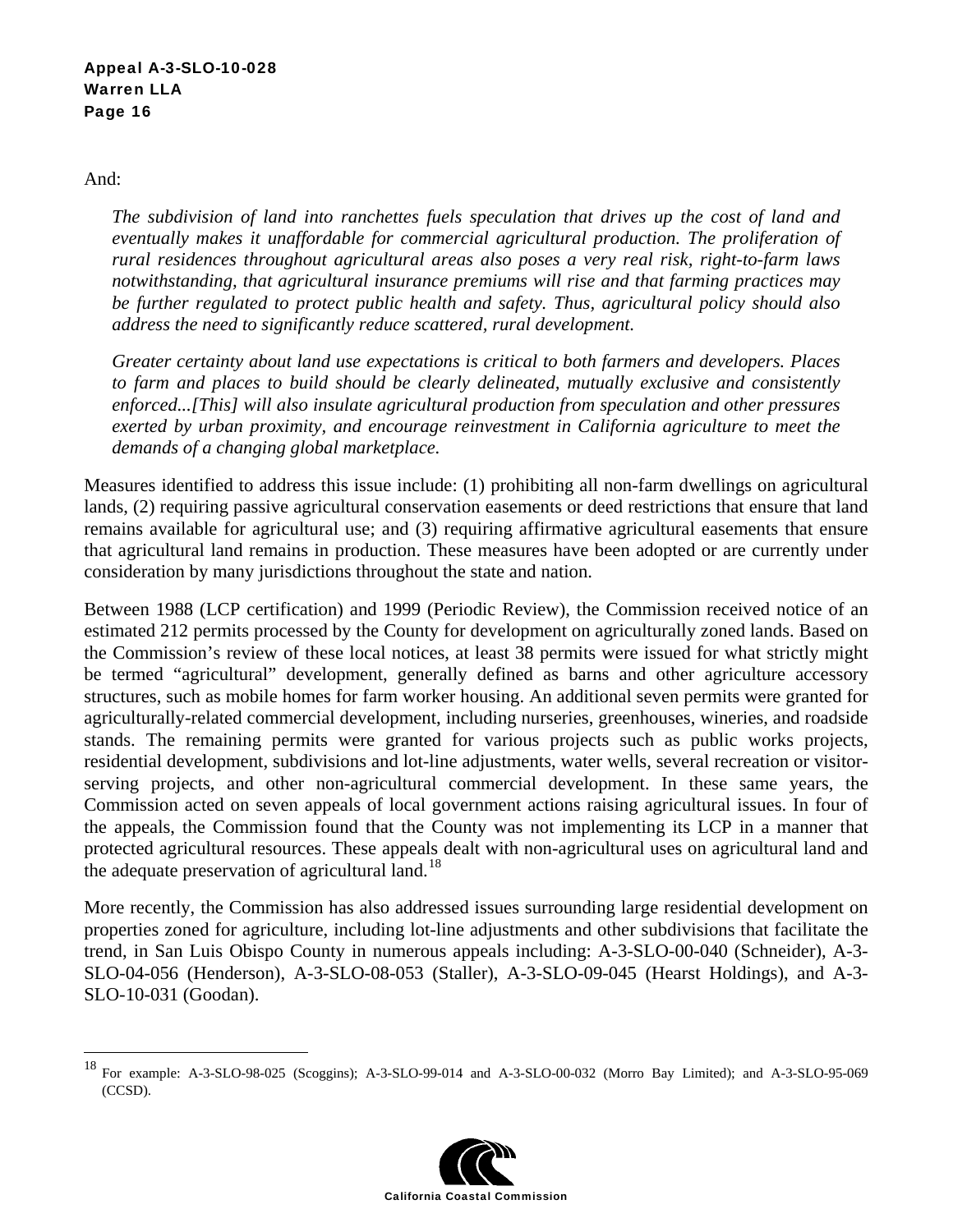And:

 $\overline{a}$ 

*The subdivision of land into ranchettes fuels speculation that drives up the cost of land and eventually makes it unaffordable for commercial agricultural production. The proliferation of rural residences throughout agricultural areas also poses a very real risk, right-to-farm laws notwithstanding, that agricultural insurance premiums will rise and that farming practices may be further regulated to protect public health and safety. Thus, agricultural policy should also address the need to significantly reduce scattered, rural development.* 

*Greater certainty about land use expectations is critical to both farmers and developers. Places to farm and places to build should be clearly delineated, mutually exclusive and consistently enforced...[This] will also insulate agricultural production from speculation and other pressures exerted by urban proximity, and encourage reinvestment in California agriculture to meet the demands of a changing global marketplace.*

Measures identified to address this issue include: (1) prohibiting all non-farm dwellings on agricultural lands, (2) requiring passive agricultural conservation easements or deed restrictions that ensure that land remains available for agricultural use; and (3) requiring affirmative agricultural easements that ensure that agricultural land remains in production. These measures have been adopted or are currently under consideration by many jurisdictions throughout the state and nation.

Between 1988 (LCP certification) and 1999 (Periodic Review), the Commission received notice of an estimated 212 permits processed by the County for development on agriculturally zoned lands. Based on the Commission's review of these local notices, at least 38 permits were issued for what strictly might be termed "agricultural" development, generally defined as barns and other agriculture accessory structures, such as mobile homes for farm worker housing. An additional seven permits were granted for agriculturally-related commercial development, including nurseries, greenhouses, wineries, and roadside stands. The remaining permits were granted for various projects such as public works projects, residential development, subdivisions and lot-line adjustments, water wells, several recreation or visitorserving projects, and other non-agricultural commercial development. In these same years, the Commission acted on seven appeals of local government actions raising agricultural issues. In four of the appeals, the Commission found that the County was not implementing its LCP in a manner that protected agricultural resources. These appeals dealt with non-agricultural uses on agricultural land and the adequate preservation of agricultural land.<sup>18</sup>

More recently, the Commission has also addressed issues surrounding large residential development on properties zoned for agriculture, including lot-line adjustments and other subdivisions that facilitate the trend, in San Luis Obispo County in numerous appeals including: A-3-SLO-00-040 (Schneider), A-3- SLO-04-056 (Henderson), A-3-SLO-08-053 (Staller), A-3-SLO-09-045 (Hearst Holdings), and A-3- SLO-10-031 (Goodan).

<sup>18</sup> For example: A-3-SLO-98-025 (Scoggins); A-3-SLO-99-014 and A-3-SLO-00-032 (Morro Bay Limited); and A-3-SLO-95-069 (CCSD).

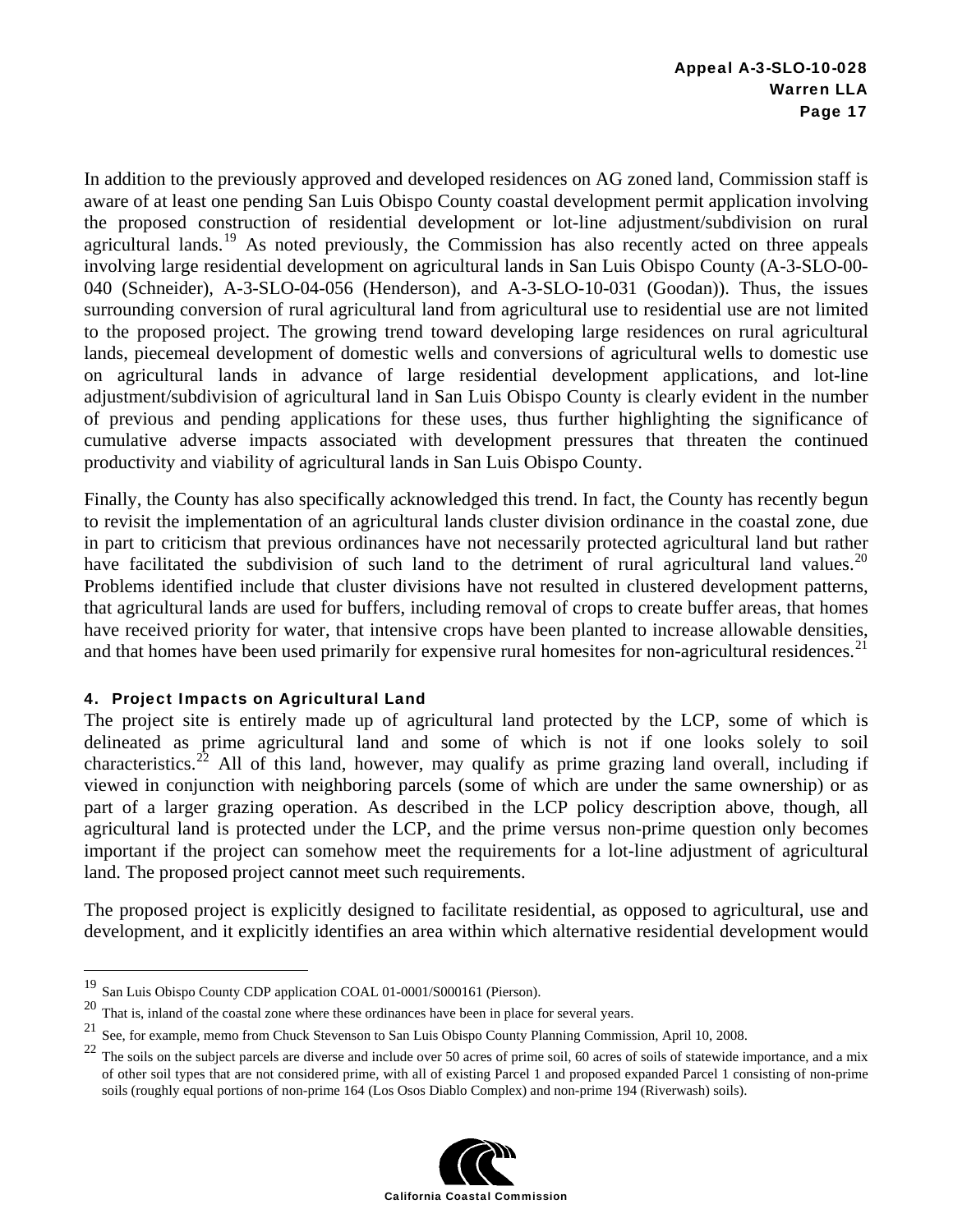In addition to the previously approved and developed residences on AG zoned land, Commission staff is aware of at least one pending San Luis Obispo County coastal development permit application involving the proposed construction of residential development or lot-line adjustment/subdivision on rural agricultural lands.<sup>19</sup> As noted previously, the Commission has also recently acted on three appeals involving large residential development on agricultural lands in San Luis Obispo County (A-3-SLO-00- 040 (Schneider), A-3-SLO-04-056 (Henderson), and A-3-SLO-10-031 (Goodan)). Thus, the issues surrounding conversion of rural agricultural land from agricultural use to residential use are not limited to the proposed project. The growing trend toward developing large residences on rural agricultural lands, piecemeal development of domestic wells and conversions of agricultural wells to domestic use on agricultural lands in advance of large residential development applications, and lot-line adjustment/subdivision of agricultural land in San Luis Obispo County is clearly evident in the number of previous and pending applications for these uses, thus further highlighting the significance of cumulative adverse impacts associated with development pressures that threaten the continued productivity and viability of agricultural lands in San Luis Obispo County.

Finally, the County has also specifically acknowledged this trend. In fact, the County has recently begun to revisit the implementation of an agricultural lands cluster division ordinance in the coastal zone, due in part to criticism that previous ordinances have not necessarily protected agricultural land but rather have facilitated the subdivision of such land to the detriment of rural agricultural land values.<sup>20</sup> Problems identified include that cluster divisions have not resulted in clustered development patterns, that agricultural lands are used for buffers, including removal of crops to create buffer areas, that homes have received priority for water, that intensive crops have been planted to increase allowable densities, and that homes have been used primarily for expensive rural homesites for non-agricultural residences.<sup>21</sup>

#### 4. Project Impacts on Agricultural Land

 $\overline{a}$ 

The project site is entirely made up of agricultural land protected by the LCP, some of which is delineated as prime agricultural land and some of which is not if one looks solely to soil characteristics.<sup>22</sup> All of this land, however, may qualify as prime grazing land overall, including if viewed in conjunction with neighboring parcels (some of which are under the same ownership) or as part of a larger grazing operation. As described in the LCP policy description above, though, all agricultural land is protected under the LCP, and the prime versus non-prime question only becomes important if the project can somehow meet the requirements for a lot-line adjustment of agricultural land. The proposed project cannot meet such requirements.

The proposed project is explicitly designed to facilitate residential, as opposed to agricultural, use and development, and it explicitly identifies an area within which alternative residential development would

 $22$  The soils on the subject parcels are diverse and include over 50 acres of prime soil, 60 acres of soils of statewide importance, and a mix of other soil types that are not considered prime, with all of existing Parcel 1 and proposed expanded Parcel 1 consisting of non-prime soils (roughly equal portions of non-prime 164 (Los Osos Diablo Complex) and non-prime 194 (Riverwash) soils).



<sup>19</sup> San Luis Obispo County CDP application COAL 01-0001/S000161 (Pierson).

<sup>&</sup>lt;sup>20</sup> That is, inland of the coastal zone where these ordinances have been in place for several years.<br><sup>21</sup> See for symple, manne from Chuck Stavances to See Luis Objects County Planning Commiss

<sup>21</sup> See, for example, memo from Chuck Stevenson to San Luis Obispo County Planning Commission, April 10, 2008.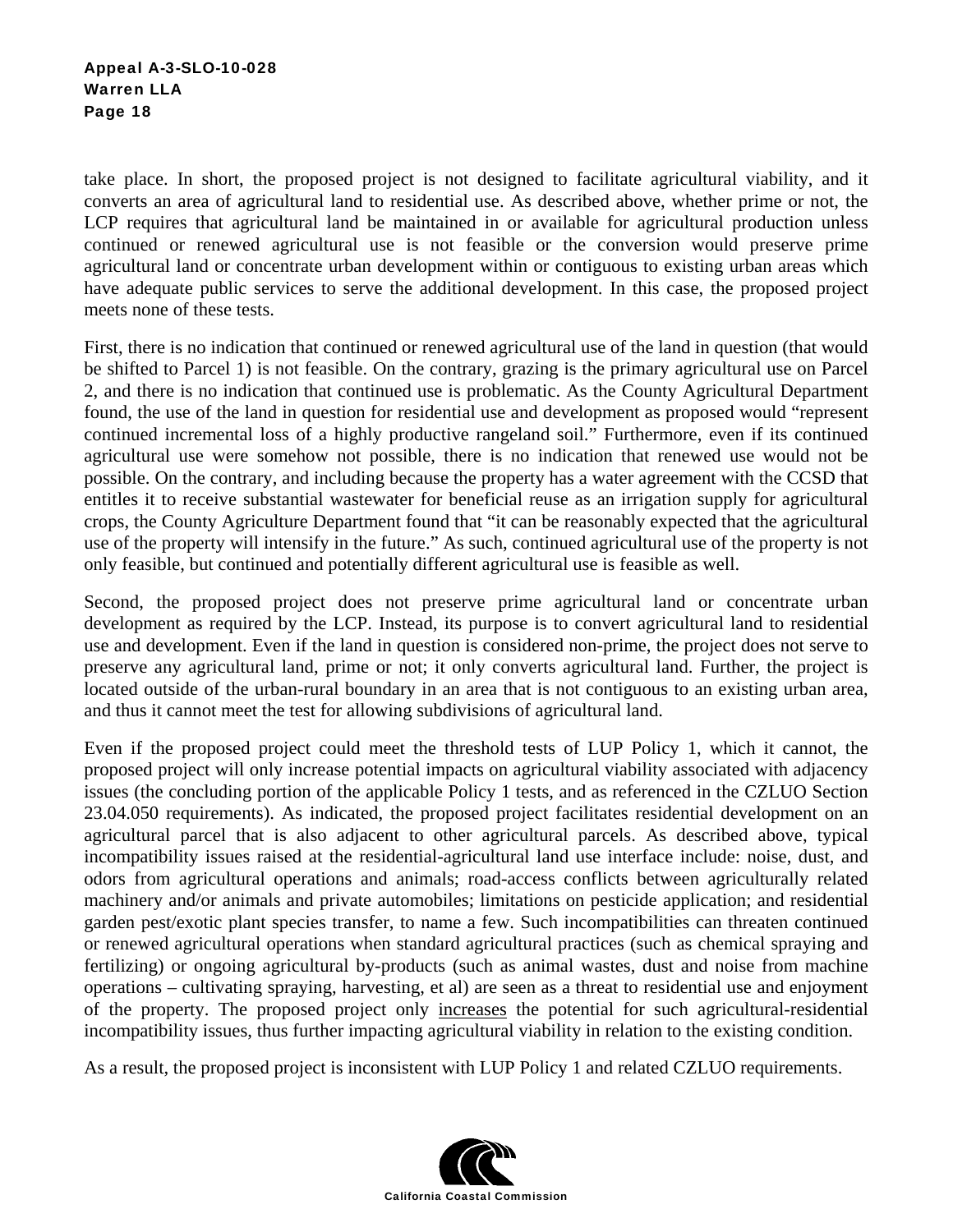take place. In short, the proposed project is not designed to facilitate agricultural viability, and it converts an area of agricultural land to residential use. As described above, whether prime or not, the LCP requires that agricultural land be maintained in or available for agricultural production unless continued or renewed agricultural use is not feasible or the conversion would preserve prime agricultural land or concentrate urban development within or contiguous to existing urban areas which have adequate public services to serve the additional development. In this case, the proposed project meets none of these tests.

First, there is no indication that continued or renewed agricultural use of the land in question (that would be shifted to Parcel 1) is not feasible. On the contrary, grazing is the primary agricultural use on Parcel 2, and there is no indication that continued use is problematic. As the County Agricultural Department found, the use of the land in question for residential use and development as proposed would "represent continued incremental loss of a highly productive rangeland soil." Furthermore, even if its continued agricultural use were somehow not possible, there is no indication that renewed use would not be possible. On the contrary, and including because the property has a water agreement with the CCSD that entitles it to receive substantial wastewater for beneficial reuse as an irrigation supply for agricultural crops, the County Agriculture Department found that "it can be reasonably expected that the agricultural use of the property will intensify in the future." As such, continued agricultural use of the property is not only feasible, but continued and potentially different agricultural use is feasible as well.

Second, the proposed project does not preserve prime agricultural land or concentrate urban development as required by the LCP. Instead, its purpose is to convert agricultural land to residential use and development. Even if the land in question is considered non-prime, the project does not serve to preserve any agricultural land, prime or not; it only converts agricultural land. Further, the project is located outside of the urban-rural boundary in an area that is not contiguous to an existing urban area, and thus it cannot meet the test for allowing subdivisions of agricultural land.

Even if the proposed project could meet the threshold tests of LUP Policy 1, which it cannot, the proposed project will only increase potential impacts on agricultural viability associated with adjacency issues (the concluding portion of the applicable Policy 1 tests, and as referenced in the CZLUO Section 23.04.050 requirements). As indicated, the proposed project facilitates residential development on an agricultural parcel that is also adjacent to other agricultural parcels. As described above, typical incompatibility issues raised at the residential-agricultural land use interface include: noise, dust, and odors from agricultural operations and animals; road-access conflicts between agriculturally related machinery and/or animals and private automobiles; limitations on pesticide application; and residential garden pest/exotic plant species transfer, to name a few. Such incompatibilities can threaten continued or renewed agricultural operations when standard agricultural practices (such as chemical spraying and fertilizing) or ongoing agricultural by-products (such as animal wastes, dust and noise from machine operations – cultivating spraying, harvesting, et al) are seen as a threat to residential use and enjoyment of the property. The proposed project only increases the potential for such agricultural-residential incompatibility issues, thus further impacting agricultural viability in relation to the existing condition.

As a result, the proposed project is inconsistent with LUP Policy 1 and related CZLUO requirements.

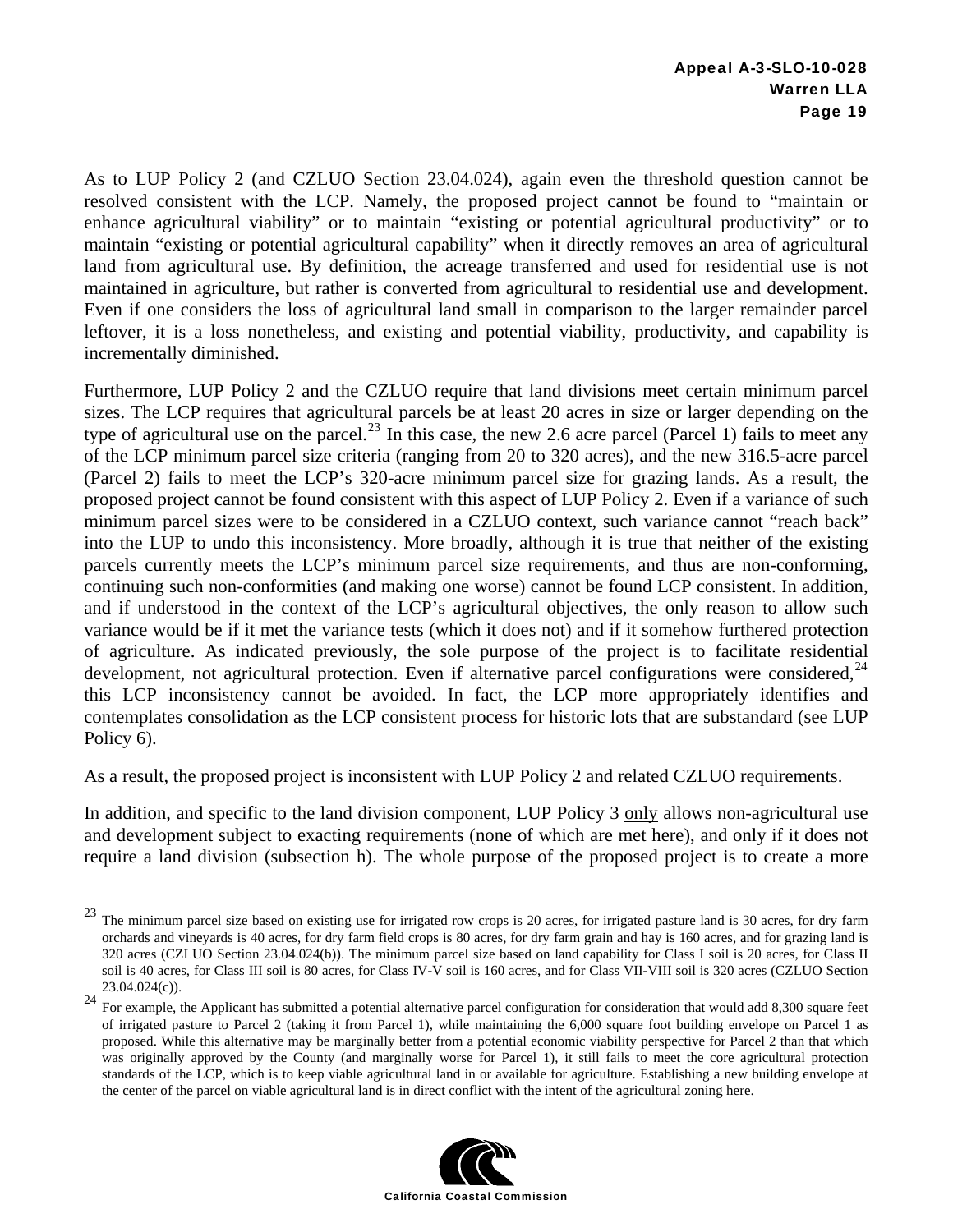As to LUP Policy 2 (and CZLUO Section 23.04.024), again even the threshold question cannot be resolved consistent with the LCP. Namely, the proposed project cannot be found to "maintain or enhance agricultural viability" or to maintain "existing or potential agricultural productivity" or to maintain "existing or potential agricultural capability" when it directly removes an area of agricultural land from agricultural use. By definition, the acreage transferred and used for residential use is not maintained in agriculture, but rather is converted from agricultural to residential use and development. Even if one considers the loss of agricultural land small in comparison to the larger remainder parcel leftover, it is a loss nonetheless, and existing and potential viability, productivity, and capability is incrementally diminished.

Furthermore, LUP Policy 2 and the CZLUO require that land divisions meet certain minimum parcel sizes. The LCP requires that agricultural parcels be at least 20 acres in size or larger depending on the type of agricultural use on the parcel.<sup>23</sup> In this case, the new 2.6 acre parcel (Parcel 1) fails to meet any of the LCP minimum parcel size criteria (ranging from 20 to 320 acres), and the new 316.5-acre parcel (Parcel 2) fails to meet the LCP's 320-acre minimum parcel size for grazing lands. As a result, the proposed project cannot be found consistent with this aspect of LUP Policy 2. Even if a variance of such minimum parcel sizes were to be considered in a CZLUO context, such variance cannot "reach back" into the LUP to undo this inconsistency. More broadly, although it is true that neither of the existing parcels currently meets the LCP's minimum parcel size requirements, and thus are non-conforming, continuing such non-conformities (and making one worse) cannot be found LCP consistent. In addition, and if understood in the context of the LCP's agricultural objectives, the only reason to allow such variance would be if it met the variance tests (which it does not) and if it somehow furthered protection of agriculture. As indicated previously, the sole purpose of the project is to facilitate residential development, not agricultural protection. Even if alternative parcel configurations were considered,  $^{24}$ this LCP inconsistency cannot be avoided. In fact, the LCP more appropriately identifies and contemplates consolidation as the LCP consistent process for historic lots that are substandard (see LUP Policy 6).

As a result, the proposed project is inconsistent with LUP Policy 2 and related CZLUO requirements.

 $\overline{a}$ 

In addition, and specific to the land division component, LUP Policy 3 only allows non-agricultural use and development subject to exacting requirements (none of which are met here), and only if it does not require a land division (subsection h). The whole purpose of the proposed project is to create a more

 $24$  For example, the Applicant has submitted a potential alternative parcel configuration for consideration that would add 8,300 square feet of irrigated pasture to Parcel 2 (taking it from Parcel 1), while maintaining the 6,000 square foot building envelope on Parcel 1 as proposed. While this alternative may be marginally better from a potential economic viability perspective for Parcel 2 than that which was originally approved by the County (and marginally worse for Parcel 1), it still fails to meet the core agricultural protection standards of the LCP, which is to keep viable agricultural land in or available for agriculture. Establishing a new building envelope at the center of the parcel on viable agricultural land is in direct conflict with the intent of the agricultural zoning here.



<sup>&</sup>lt;sup>23</sup> The minimum parcel size based on existing use for irrigated row crops is 20 acres, for irrigated pasture land is 30 acres, for dry farm orchards and vineyards is 40 acres, for dry farm field crops is 80 acres, for dry farm grain and hay is 160 acres, and for grazing land is 320 acres (CZLUO Section 23.04.024(b)). The minimum parcel size based on land capability for Class I soil is 20 acres, for Class II soil is 40 acres, for Class III soil is 80 acres, for Class IV-V soil is 160 acres, and for Class VII-VIII soil is 320 acres (CZLUO Section 23.04.024(c)).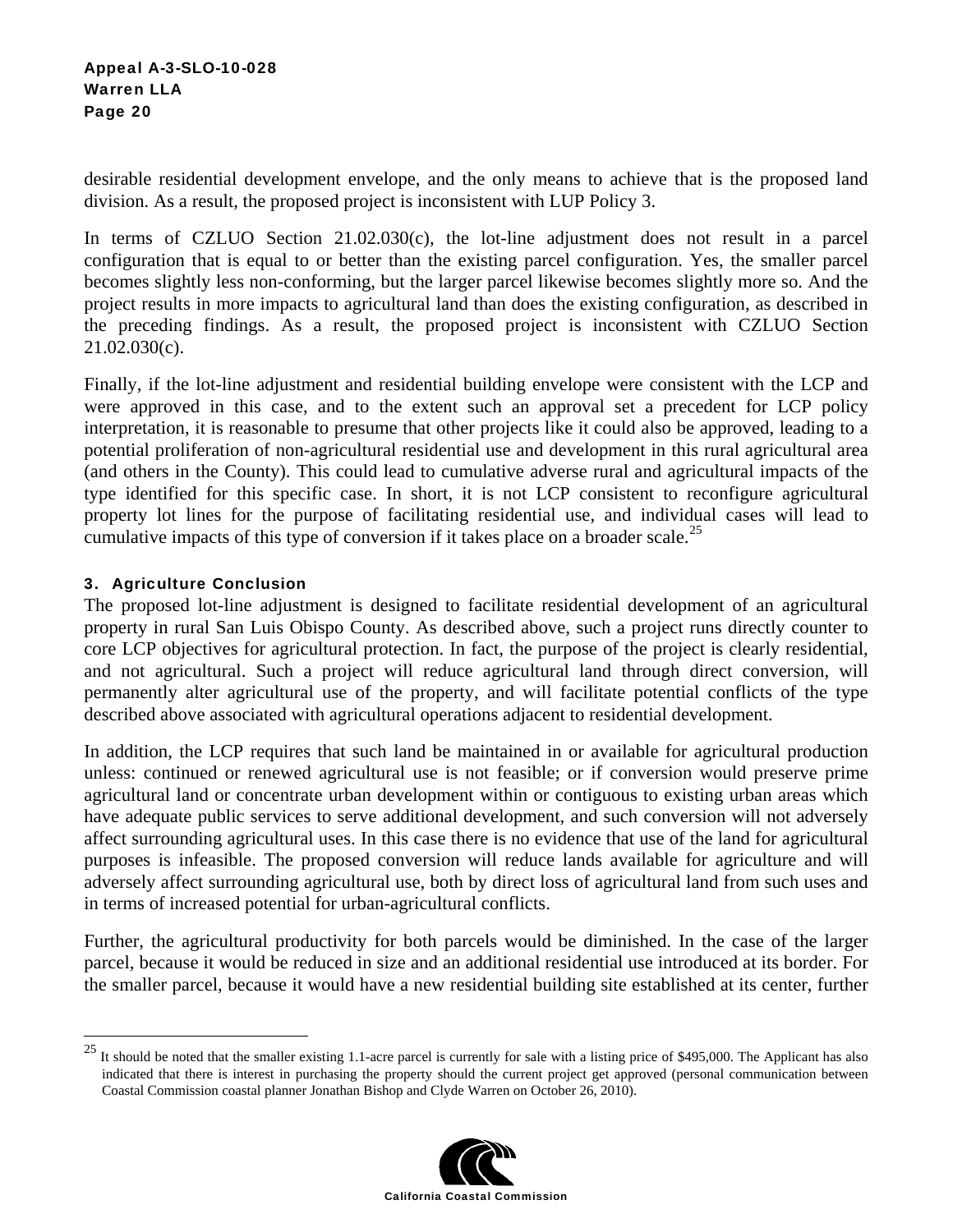desirable residential development envelope, and the only means to achieve that is the proposed land division. As a result, the proposed project is inconsistent with LUP Policy 3.

In terms of CZLUO Section 21.02.030(c), the lot-line adjustment does not result in a parcel configuration that is equal to or better than the existing parcel configuration. Yes, the smaller parcel becomes slightly less non-conforming, but the larger parcel likewise becomes slightly more so. And the project results in more impacts to agricultural land than does the existing configuration, as described in the preceding findings. As a result, the proposed project is inconsistent with CZLUO Section 21.02.030(c).

Finally, if the lot-line adjustment and residential building envelope were consistent with the LCP and were approved in this case, and to the extent such an approval set a precedent for LCP policy interpretation, it is reasonable to presume that other projects like it could also be approved, leading to a potential proliferation of non-agricultural residential use and development in this rural agricultural area (and others in the County). This could lead to cumulative adverse rural and agricultural impacts of the type identified for this specific case. In short, it is not LCP consistent to reconfigure agricultural property lot lines for the purpose of facilitating residential use, and individual cases will lead to cumulative impacts of this type of conversion if it takes place on a broader scale.<sup>25</sup>

#### 3. Agriculture Conclusion

1

The proposed lot-line adjustment is designed to facilitate residential development of an agricultural property in rural San Luis Obispo County. As described above, such a project runs directly counter to core LCP objectives for agricultural protection. In fact, the purpose of the project is clearly residential, and not agricultural. Such a project will reduce agricultural land through direct conversion, will permanently alter agricultural use of the property, and will facilitate potential conflicts of the type described above associated with agricultural operations adjacent to residential development.

In addition, the LCP requires that such land be maintained in or available for agricultural production unless: continued or renewed agricultural use is not feasible; or if conversion would preserve prime agricultural land or concentrate urban development within or contiguous to existing urban areas which have adequate public services to serve additional development, and such conversion will not adversely affect surrounding agricultural uses. In this case there is no evidence that use of the land for agricultural purposes is infeasible. The proposed conversion will reduce lands available for agriculture and will adversely affect surrounding agricultural use, both by direct loss of agricultural land from such uses and in terms of increased potential for urban-agricultural conflicts.

Further, the agricultural productivity for both parcels would be diminished. In the case of the larger parcel, because it would be reduced in size and an additional residential use introduced at its border. For the smaller parcel, because it would have a new residential building site established at its center, further

 $^{25}$  It should be noted that the smaller existing 1.1-acre parcel is currently for sale with a listing price of \$495,000. The Applicant has also indicated that there is interest in purchasing the property should the current project get approved (personal communication between Coastal Commission coastal planner Jonathan Bishop and Clyde Warren on October 26, 2010).

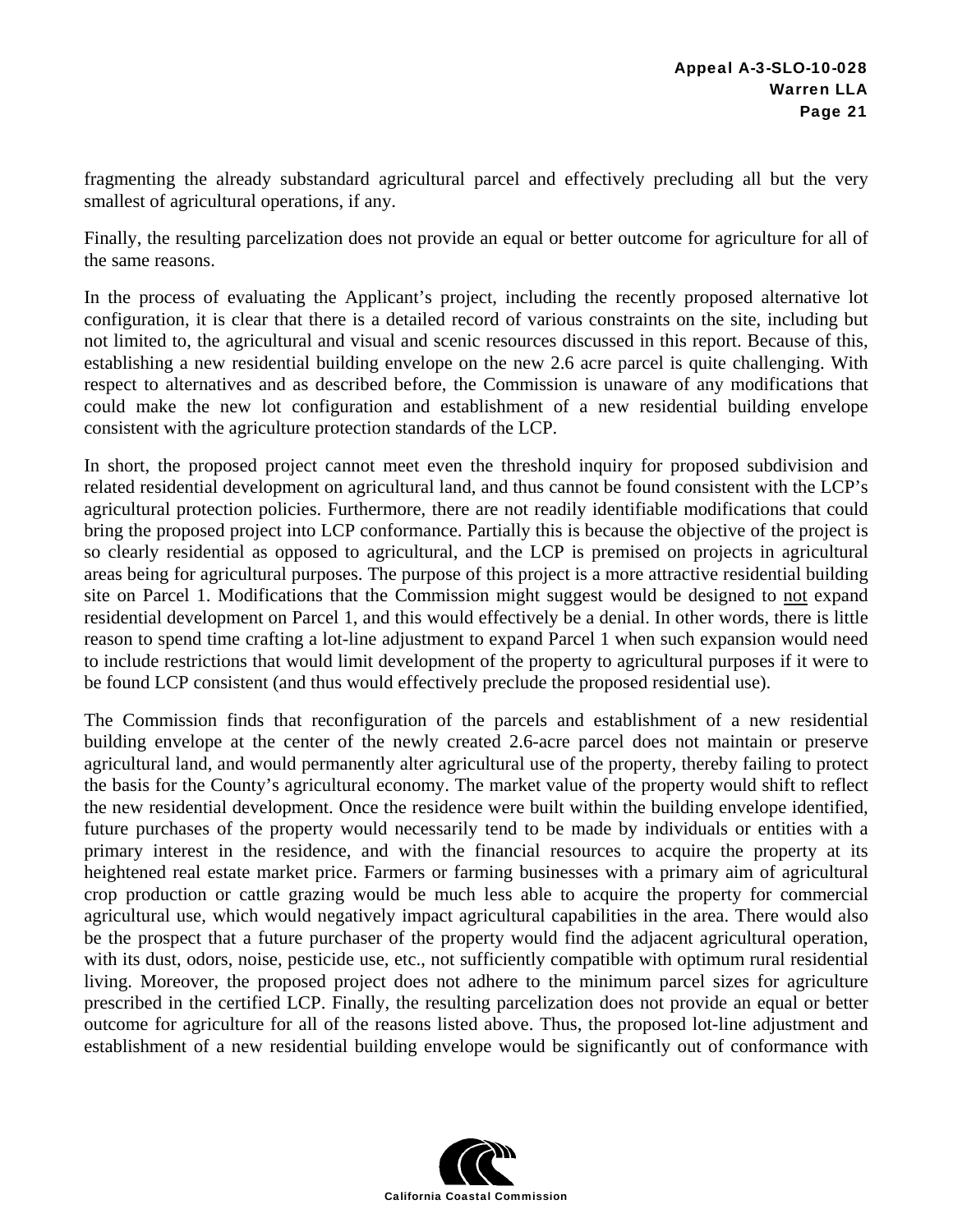fragmenting the already substandard agricultural parcel and effectively precluding all but the very smallest of agricultural operations, if any.

Finally, the resulting parcelization does not provide an equal or better outcome for agriculture for all of the same reasons.

In the process of evaluating the Applicant's project, including the recently proposed alternative lot configuration, it is clear that there is a detailed record of various constraints on the site, including but not limited to, the agricultural and visual and scenic resources discussed in this report. Because of this, establishing a new residential building envelope on the new 2.6 acre parcel is quite challenging. With respect to alternatives and as described before, the Commission is unaware of any modifications that could make the new lot configuration and establishment of a new residential building envelope consistent with the agriculture protection standards of the LCP.

In short, the proposed project cannot meet even the threshold inquiry for proposed subdivision and related residential development on agricultural land, and thus cannot be found consistent with the LCP's agricultural protection policies. Furthermore, there are not readily identifiable modifications that could bring the proposed project into LCP conformance. Partially this is because the objective of the project is so clearly residential as opposed to agricultural, and the LCP is premised on projects in agricultural areas being for agricultural purposes. The purpose of this project is a more attractive residential building site on Parcel 1. Modifications that the Commission might suggest would be designed to not expand residential development on Parcel 1, and this would effectively be a denial. In other words, there is little reason to spend time crafting a lot-line adjustment to expand Parcel 1 when such expansion would need to include restrictions that would limit development of the property to agricultural purposes if it were to be found LCP consistent (and thus would effectively preclude the proposed residential use).

The Commission finds that reconfiguration of the parcels and establishment of a new residential building envelope at the center of the newly created 2.6-acre parcel does not maintain or preserve agricultural land, and would permanently alter agricultural use of the property, thereby failing to protect the basis for the County's agricultural economy. The market value of the property would shift to reflect the new residential development. Once the residence were built within the building envelope identified, future purchases of the property would necessarily tend to be made by individuals or entities with a primary interest in the residence, and with the financial resources to acquire the property at its heightened real estate market price. Farmers or farming businesses with a primary aim of agricultural crop production or cattle grazing would be much less able to acquire the property for commercial agricultural use, which would negatively impact agricultural capabilities in the area. There would also be the prospect that a future purchaser of the property would find the adjacent agricultural operation, with its dust, odors, noise, pesticide use, etc., not sufficiently compatible with optimum rural residential living. Moreover, the proposed project does not adhere to the minimum parcel sizes for agriculture prescribed in the certified LCP. Finally, the resulting parcelization does not provide an equal or better outcome for agriculture for all of the reasons listed above. Thus, the proposed lot-line adjustment and establishment of a new residential building envelope would be significantly out of conformance with

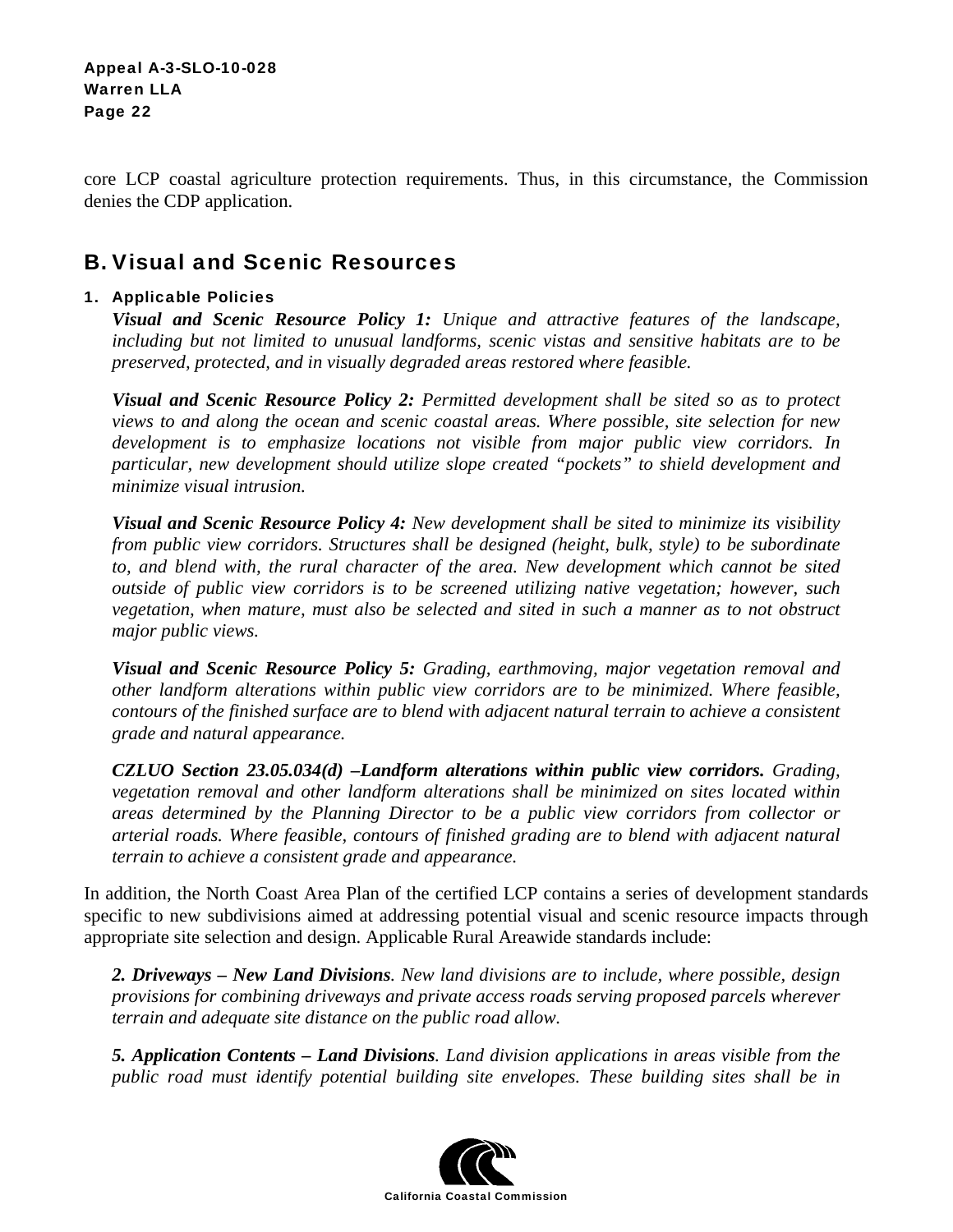core LCP coastal agriculture protection requirements. Thus, in this circumstance, the Commission denies the CDP application.

## B. Visual and Scenic Resources

#### 1. Applicable Policies

*Visual and Scenic Resource Policy 1: Unique and attractive features of the landscape, including but not limited to unusual landforms, scenic vistas and sensitive habitats are to be preserved, protected, and in visually degraded areas restored where feasible.*

*Visual and Scenic Resource Policy 2: Permitted development shall be sited so as to protect views to and along the ocean and scenic coastal areas. Where possible, site selection for new development is to emphasize locations not visible from major public view corridors. In particular, new development should utilize slope created "pockets" to shield development and minimize visual intrusion.*

*Visual and Scenic Resource Policy 4: New development shall be sited to minimize its visibility from public view corridors. Structures shall be designed (height, bulk, style) to be subordinate to, and blend with, the rural character of the area. New development which cannot be sited outside of public view corridors is to be screened utilizing native vegetation; however, such vegetation, when mature, must also be selected and sited in such a manner as to not obstruct major public views.* 

*Visual and Scenic Resource Policy 5: Grading, earthmoving, major vegetation removal and other landform alterations within public view corridors are to be minimized. Where feasible, contours of the finished surface are to blend with adjacent natural terrain to achieve a consistent grade and natural appearance.* 

*CZLUO Section 23.05.034(d) –Landform alterations within public view corridors. Grading, vegetation removal and other landform alterations shall be minimized on sites located within areas determined by the Planning Director to be a public view corridors from collector or arterial roads. Where feasible, contours of finished grading are to blend with adjacent natural terrain to achieve a consistent grade and appearance.* 

In addition, the North Coast Area Plan of the certified LCP contains a series of development standards specific to new subdivisions aimed at addressing potential visual and scenic resource impacts through appropriate site selection and design. Applicable Rural Areawide standards include:

*2. Driveways – New Land Divisions. New land divisions are to include, where possible, design provisions for combining driveways and private access roads serving proposed parcels wherever terrain and adequate site distance on the public road allow.* 

*5. Application Contents – Land Divisions. Land division applications in areas visible from the public road must identify potential building site envelopes. These building sites shall be in* 

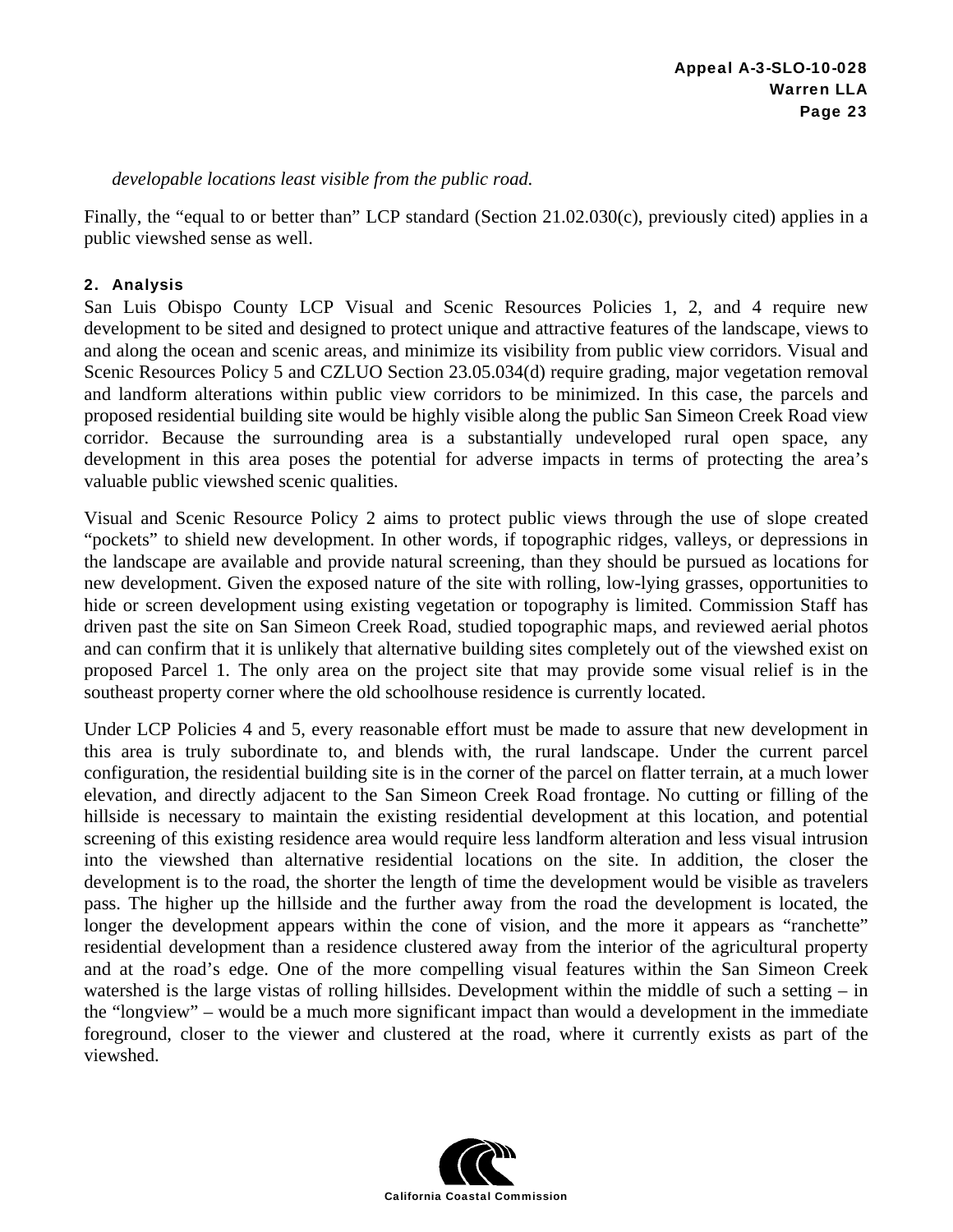*developable locations least visible from the public road.* 

Finally, the "equal to or better than" LCP standard (Section 21.02.030(c), previously cited) applies in a public viewshed sense as well.

#### 2. Analysis

San Luis Obispo County LCP Visual and Scenic Resources Policies 1, 2, and 4 require new development to be sited and designed to protect unique and attractive features of the landscape, views to and along the ocean and scenic areas, and minimize its visibility from public view corridors. Visual and Scenic Resources Policy 5 and CZLUO Section 23.05.034(d) require grading, major vegetation removal and landform alterations within public view corridors to be minimized. In this case, the parcels and proposed residential building site would be highly visible along the public San Simeon Creek Road view corridor. Because the surrounding area is a substantially undeveloped rural open space, any development in this area poses the potential for adverse impacts in terms of protecting the area's valuable public viewshed scenic qualities.

Visual and Scenic Resource Policy 2 aims to protect public views through the use of slope created "pockets" to shield new development. In other words, if topographic ridges, valleys, or depressions in the landscape are available and provide natural screening, than they should be pursued as locations for new development. Given the exposed nature of the site with rolling, low-lying grasses, opportunities to hide or screen development using existing vegetation or topography is limited. Commission Staff has driven past the site on San Simeon Creek Road, studied topographic maps, and reviewed aerial photos and can confirm that it is unlikely that alternative building sites completely out of the viewshed exist on proposed Parcel 1. The only area on the project site that may provide some visual relief is in the southeast property corner where the old schoolhouse residence is currently located.

Under LCP Policies 4 and 5, every reasonable effort must be made to assure that new development in this area is truly subordinate to, and blends with, the rural landscape. Under the current parcel configuration, the residential building site is in the corner of the parcel on flatter terrain, at a much lower elevation, and directly adjacent to the San Simeon Creek Road frontage. No cutting or filling of the hillside is necessary to maintain the existing residential development at this location, and potential screening of this existing residence area would require less landform alteration and less visual intrusion into the viewshed than alternative residential locations on the site. In addition, the closer the development is to the road, the shorter the length of time the development would be visible as travelers pass. The higher up the hillside and the further away from the road the development is located, the longer the development appears within the cone of vision, and the more it appears as "ranchette" residential development than a residence clustered away from the interior of the agricultural property and at the road's edge. One of the more compelling visual features within the San Simeon Creek watershed is the large vistas of rolling hillsides. Development within the middle of such a setting – in the "longview" – would be a much more significant impact than would a development in the immediate foreground, closer to the viewer and clustered at the road, where it currently exists as part of the viewshed.

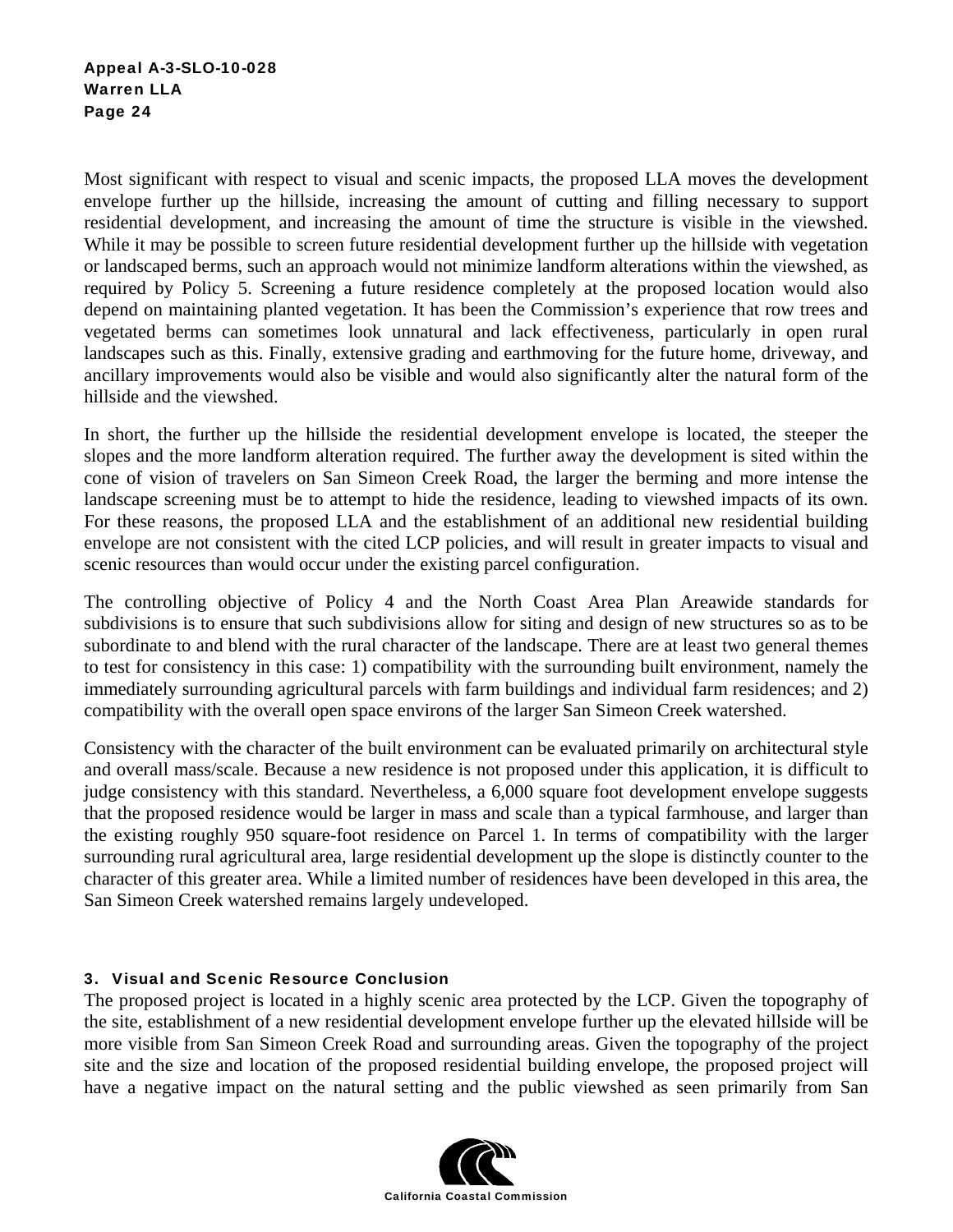Most significant with respect to visual and scenic impacts, the proposed LLA moves the development envelope further up the hillside, increasing the amount of cutting and filling necessary to support residential development, and increasing the amount of time the structure is visible in the viewshed. While it may be possible to screen future residential development further up the hillside with vegetation or landscaped berms, such an approach would not minimize landform alterations within the viewshed, as required by Policy 5. Screening a future residence completely at the proposed location would also depend on maintaining planted vegetation. It has been the Commission's experience that row trees and vegetated berms can sometimes look unnatural and lack effectiveness, particularly in open rural landscapes such as this. Finally, extensive grading and earthmoving for the future home, driveway, and ancillary improvements would also be visible and would also significantly alter the natural form of the hillside and the viewshed.

In short, the further up the hillside the residential development envelope is located, the steeper the slopes and the more landform alteration required. The further away the development is sited within the cone of vision of travelers on San Simeon Creek Road, the larger the berming and more intense the landscape screening must be to attempt to hide the residence, leading to viewshed impacts of its own. For these reasons, the proposed LLA and the establishment of an additional new residential building envelope are not consistent with the cited LCP policies, and will result in greater impacts to visual and scenic resources than would occur under the existing parcel configuration.

The controlling objective of Policy 4 and the North Coast Area Plan Areawide standards for subdivisions is to ensure that such subdivisions allow for siting and design of new structures so as to be subordinate to and blend with the rural character of the landscape. There are at least two general themes to test for consistency in this case: 1) compatibility with the surrounding built environment, namely the immediately surrounding agricultural parcels with farm buildings and individual farm residences; and 2) compatibility with the overall open space environs of the larger San Simeon Creek watershed.

Consistency with the character of the built environment can be evaluated primarily on architectural style and overall mass/scale. Because a new residence is not proposed under this application, it is difficult to judge consistency with this standard. Nevertheless, a 6,000 square foot development envelope suggests that the proposed residence would be larger in mass and scale than a typical farmhouse, and larger than the existing roughly 950 square-foot residence on Parcel 1. In terms of compatibility with the larger surrounding rural agricultural area, large residential development up the slope is distinctly counter to the character of this greater area. While a limited number of residences have been developed in this area, the San Simeon Creek watershed remains largely undeveloped.

#### 3. Visual and Scenic Resource Conclusion

The proposed project is located in a highly scenic area protected by the LCP. Given the topography of the site, establishment of a new residential development envelope further up the elevated hillside will be more visible from San Simeon Creek Road and surrounding areas. Given the topography of the project site and the size and location of the proposed residential building envelope, the proposed project will have a negative impact on the natural setting and the public viewshed as seen primarily from San

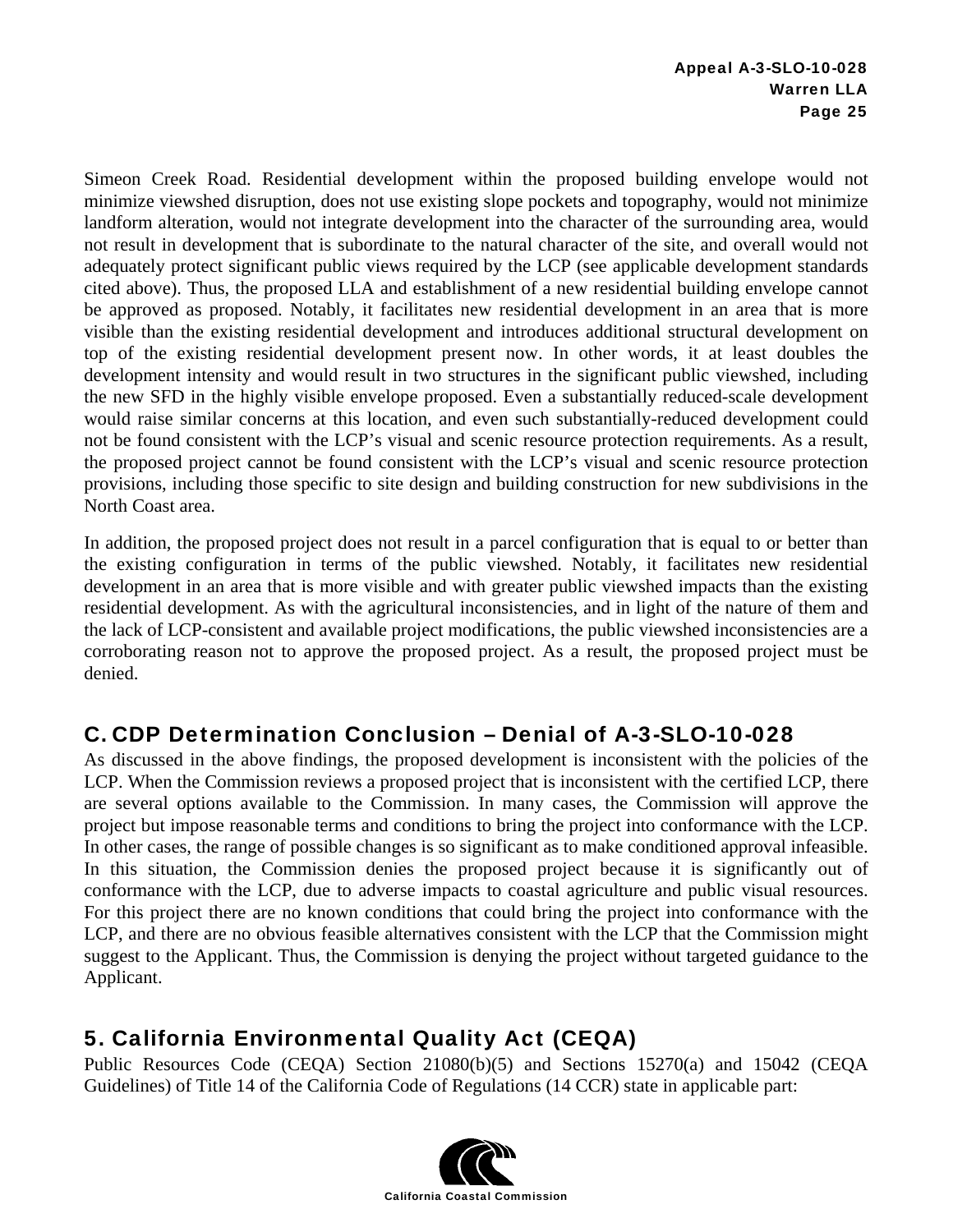Simeon Creek Road. Residential development within the proposed building envelope would not minimize viewshed disruption, does not use existing slope pockets and topography, would not minimize landform alteration, would not integrate development into the character of the surrounding area, would not result in development that is subordinate to the natural character of the site, and overall would not adequately protect significant public views required by the LCP (see applicable development standards cited above). Thus, the proposed LLA and establishment of a new residential building envelope cannot be approved as proposed. Notably, it facilitates new residential development in an area that is more visible than the existing residential development and introduces additional structural development on top of the existing residential development present now. In other words, it at least doubles the development intensity and would result in two structures in the significant public viewshed, including the new SFD in the highly visible envelope proposed. Even a substantially reduced-scale development would raise similar concerns at this location, and even such substantially-reduced development could not be found consistent with the LCP's visual and scenic resource protection requirements. As a result, the proposed project cannot be found consistent with the LCP's visual and scenic resource protection provisions, including those specific to site design and building construction for new subdivisions in the North Coast area.

In addition, the proposed project does not result in a parcel configuration that is equal to or better than the existing configuration in terms of the public viewshed. Notably, it facilitates new residential development in an area that is more visible and with greater public viewshed impacts than the existing residential development. As with the agricultural inconsistencies, and in light of the nature of them and the lack of LCP-consistent and available project modifications, the public viewshed inconsistencies are a corroborating reason not to approve the proposed project. As a result, the proposed project must be denied.

## C. CDP Determination Conclusion – Denial of A-3-SLO-10-028

As discussed in the above findings, the proposed development is inconsistent with the policies of the LCP. When the Commission reviews a proposed project that is inconsistent with the certified LCP, there are several options available to the Commission. In many cases, the Commission will approve the project but impose reasonable terms and conditions to bring the project into conformance with the LCP. In other cases, the range of possible changes is so significant as to make conditioned approval infeasible. In this situation, the Commission denies the proposed project because it is significantly out of conformance with the LCP, due to adverse impacts to coastal agriculture and public visual resources. For this project there are no known conditions that could bring the project into conformance with the LCP, and there are no obvious feasible alternatives consistent with the LCP that the Commission might suggest to the Applicant. Thus, the Commission is denying the project without targeted guidance to the Applicant.

## 5. California Environmental Quality Act (CEQA)

Public Resources Code (CEQA) Section 21080(b)(5) and Sections 15270(a) and 15042 (CEQA Guidelines) of Title 14 of the California Code of Regulations (14 CCR) state in applicable part: